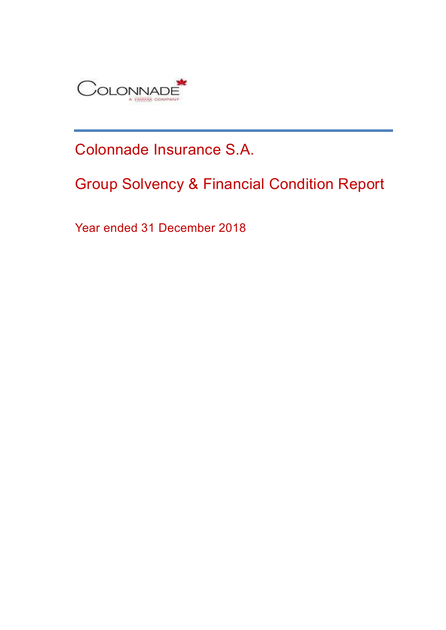

Colonnade Insurance S.A.

# Group Solvency & Financial Condition Report

Year ended 31 December 2018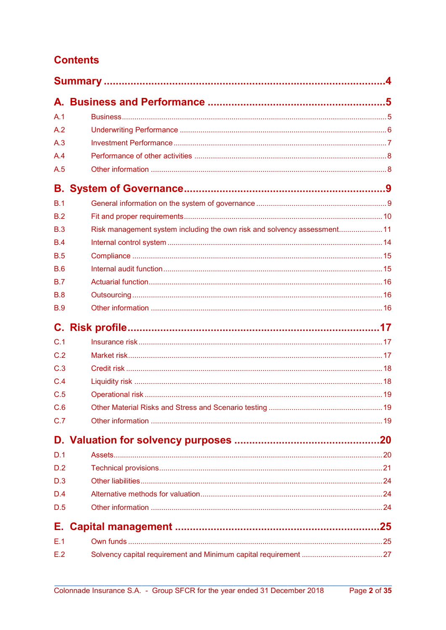## **Contents**

| A.1        |                                                                          |  |
|------------|--------------------------------------------------------------------------|--|
| A.2        |                                                                          |  |
| A.3        |                                                                          |  |
| A.4        |                                                                          |  |
| A.5        |                                                                          |  |
|            |                                                                          |  |
| B.1        |                                                                          |  |
| B.2        |                                                                          |  |
| B.3        | Risk management system including the own risk and solvency assessment 11 |  |
| <b>B.4</b> |                                                                          |  |
| <b>B.5</b> |                                                                          |  |
| B.6        |                                                                          |  |
| B.7        |                                                                          |  |
| B.8        |                                                                          |  |
| <b>B.9</b> |                                                                          |  |
|            |                                                                          |  |
| C.1        |                                                                          |  |
| C.2        |                                                                          |  |
| C.3        |                                                                          |  |
| C.4        |                                                                          |  |
| C.5        |                                                                          |  |
| C.6        |                                                                          |  |
| C.7        |                                                                          |  |
|            |                                                                          |  |
| D.1        |                                                                          |  |
| D.2        |                                                                          |  |
| D.3        |                                                                          |  |
| D.4        |                                                                          |  |
| D.5        |                                                                          |  |
| Е.         |                                                                          |  |
| E.1        |                                                                          |  |
| E.2        |                                                                          |  |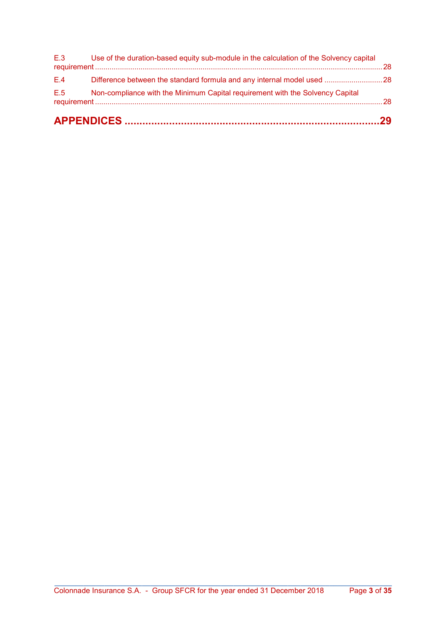| E.5 | Non-compliance with the Minimum Capital requirement with the Solvency Capital              |  |
|-----|--------------------------------------------------------------------------------------------|--|
| E.4 |                                                                                            |  |
|     | E.3 Use of the duration-based equity sub-module in the calculation of the Solvency capital |  |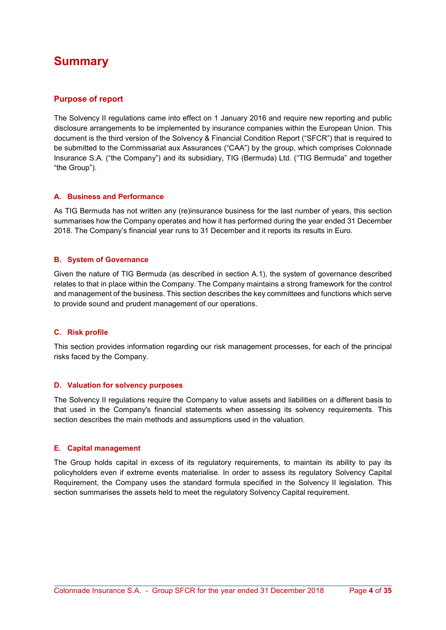## Summary

### Purpose of report

The Solvency II regulations came into effect on 1 January 2016 and require new reporting and public disclosure arrangements to be implemented by insurance companies within the European Union. This document is the third version of the Solvency & Financial Condition Report ("SFCR") that is required to be submitted to the Commissariat aux Assurances ("CAA") by the group, which comprises Colonnade Insurance S.A. ("the Company") and its subsidiary, TIG (Bermuda) Ltd. ("TIG Bermuda" and together "the Group").

### A. Business and Performance

As TIG Bermuda has not written any (re)insurance business for the last number of years, this section summarises how the Company operates and how it has performed during the year ended 31 December 2018. The Company's financial year runs to 31 December and it reports its results in Euro.

### B. System of Governance

Given the nature of TIG Bermuda (as described in section A.1), the system of governance described relates to that in place within the Company. The Company maintains a strong framework for the control and management of the business. This section describes the key committees and functions which serve to provide sound and prudent management of our operations.

### C. Risk profile

This section provides information regarding our risk management processes, for each of the principal risks faced by the Company.

### D. Valuation for solvency purposes

The Solvency II regulations require the Company to value assets and liabilities on a different basis to that used in the Company's financial statements when assessing its solvency requirements. This section describes the main methods and assumptions used in the valuation.

### E. Capital management

The Group holds capital in excess of its regulatory requirements, to maintain its ability to pay its policyholders even if extreme events materialise. In order to assess its regulatory Solvency Capital Requirement, the Company uses the standard formula specified in the Solvency II legislation. This section summarises the assets held to meet the regulatory Solvency Capital requirement.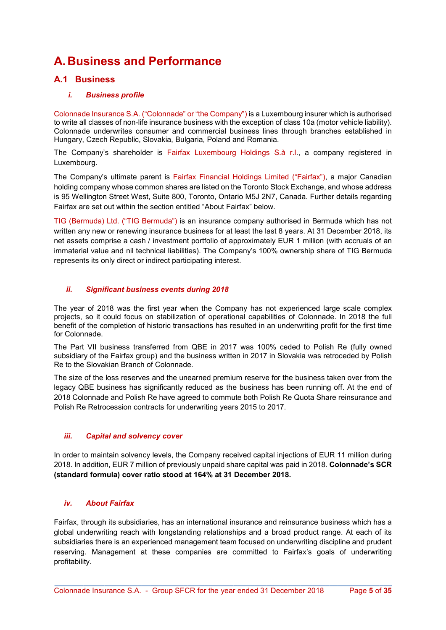## A. Business and Performance

### A.1 Business

### i. Business profile

Colonnade Insurance S.A. ("Colonnade" or "the Company") is a Luxembourg insurer which is authorised to write all classes of non-life insurance business with the exception of class 10a (motor vehicle liability). Colonnade underwrites consumer and commercial business lines through branches established in Hungary, Czech Republic, Slovakia, Bulgaria, Poland and Romania.

The Company's shareholder is Fairfax Luxembourg Holdings S.à r.l., a company registered in Luxembourg.

The Company's ultimate parent is Fairfax Financial Holdings Limited ("Fairfax"), a major Canadian holding company whose common shares are listed on the Toronto Stock Exchange, and whose address is 95 Wellington Street West, Suite 800, Toronto, Ontario M5J 2N7, Canada. Further details regarding Fairfax are set out within the section entitled "About Fairfax" below.

TIG (Bermuda) Ltd. ("TIG Bermuda") is an insurance company authorised in Bermuda which has not written any new or renewing insurance business for at least the last 8 years. At 31 December 2018, its net assets comprise a cash / investment portfolio of approximately EUR 1 million (with accruals of an immaterial value and nil technical liabilities). The Company's 100% ownership share of TIG Bermuda represents its only direct or indirect participating interest.

### ii. Significant business events during 2018

The year of 2018 was the first year when the Company has not experienced large scale complex projects, so it could focus on stabilization of operational capabilities of Colonnade. In 2018 the full benefit of the completion of historic transactions has resulted in an underwriting profit for the first time for Colonnade.

The Part VII business transferred from QBE in 2017 was 100% ceded to Polish Re (fully owned subsidiary of the Fairfax group) and the business written in 2017 in Slovakia was retroceded by Polish Re to the Slovakian Branch of Colonnade.

The size of the loss reserves and the unearned premium reserve for the business taken over from the legacy QBE business has significantly reduced as the business has been running off. At the end of 2018 Colonnade and Polish Re have agreed to commute both Polish Re Quota Share reinsurance and Polish Re Retrocession contracts for underwriting years 2015 to 2017.

### iii. Capital and solvency cover

In order to maintain solvency levels, the Company received capital injections of EUR 11 million during 2018. In addition, EUR 7 million of previously unpaid share capital was paid in 2018. Colonnade's SCR (standard formula) cover ratio stood at 164% at 31 December 2018.

### iv. About Fairfax

Fairfax, through its subsidiaries, has an international insurance and reinsurance business which has a global underwriting reach with longstanding relationships and a broad product range. At each of its subsidiaries there is an experienced management team focused on underwriting discipline and prudent reserving. Management at these companies are committed to Fairfax's goals of underwriting profitability.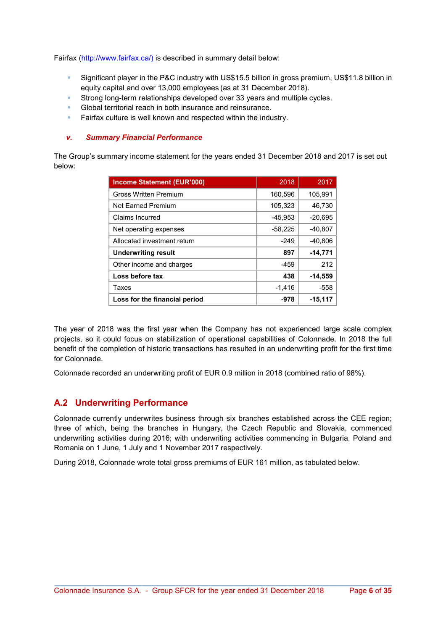Fairfax (http://www.fairfax.ca/) is described in summary detail below:

- Significant player in the P&C industry with US\$15.5 billion in gross premium, US\$11.8 billion in equity capital and over 13,000 employees (as at 31 December 2018).
- **Strong long-term relationships developed over 33 years and multiple cycles.**
- Global territorial reach in both insurance and reinsurance.
- Fairfax culture is well known and respected within the industry.

#### v. Summary Financial Performance

The Group's summary income statement for the years ended 31 December 2018 and 2017 is set out below:

| <b>Income Statement (EUR'000)</b> | 2018      | 2017      |
|-----------------------------------|-----------|-----------|
| <b>Gross Written Premium</b>      | 160,596   | 105,991   |
| <b>Net Farned Premium</b>         | 105,323   | 46,730    |
| Claims Incurred                   | $-45,953$ | $-20,695$ |
| Net operating expenses            | $-58,225$ | $-40.807$ |
| Allocated investment return       | $-249$    | $-40,806$ |
| <b>Underwriting result</b>        | 897       | $-14,771$ |
| Other income and charges          | -459      | 212       |
| Loss before tax                   | 438       | $-14,559$ |
| Taxes                             | $-1,416$  | -558      |
| Loss for the financial period     | -978      | $-15,117$ |

The year of 2018 was the first year when the Company has not experienced large scale complex projects, so it could focus on stabilization of operational capabilities of Colonnade. In 2018 the full benefit of the completion of historic transactions has resulted in an underwriting profit for the first time for Colonnade.

Colonnade recorded an underwriting profit of EUR 0.9 million in 2018 (combined ratio of 98%).

### A.2 Underwriting Performance

Colonnade currently underwrites business through six branches established across the CEE region; three of which, being the branches in Hungary, the Czech Republic and Slovakia, commenced underwriting activities during 2016; with underwriting activities commencing in Bulgaria, Poland and Romania on 1 June, 1 July and 1 November 2017 respectively.

During 2018, Colonnade wrote total gross premiums of EUR 161 million, as tabulated below.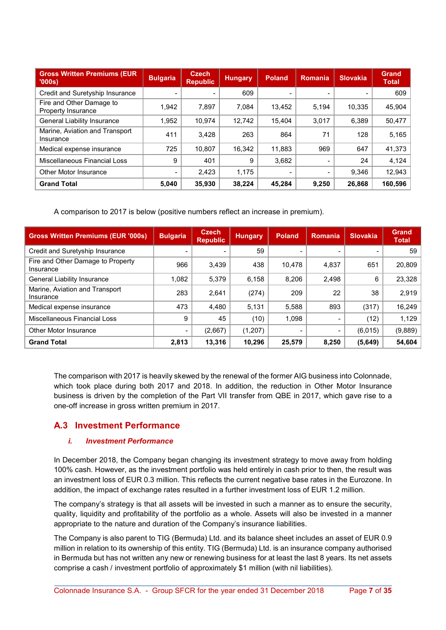| <b>Gross Written Premiums (EUR)</b><br>'000s   | <b>Bulgaria</b> | <b>Czech</b><br><b>Republic</b> | <b>Hungary</b> | <b>Poland</b> | <b>Romania</b> | <b>Slovakia</b> | <b>Grand</b><br><b>Total</b> |
|------------------------------------------------|-----------------|---------------------------------|----------------|---------------|----------------|-----------------|------------------------------|
| Credit and Suretyship Insurance                |                 |                                 | 609            |               |                |                 | 609                          |
| Fire and Other Damage to<br>Property Insurance | 1.942           | 7.897                           | 7.084          | 13.452        | 5.194          | 10.335          | 45,904                       |
| General Liability Insurance                    | 1.952           | 10.974                          | 12,742         | 15.404        | 3.017          | 6.389           | 50,477                       |
| Marine, Aviation and Transport<br>Insurance    | 411             | 3.428                           | 263            | 864           | 71             | 128             | 5,165                        |
| Medical expense insurance                      | 725             | 10,807                          | 16.342         | 11.883        | 969            | 647             | 41,373                       |
| Miscellaneous Financial Loss                   | 9               | 401                             | 9              | 3,682         | $\,$           | 24              | 4,124                        |
| Other Motor Insurance                          | -               | 2,423                           | 1,175          |               | -              | 9.346           | 12,943                       |
| <b>Grand Total</b>                             | 5,040           | 35,930                          | 38,224         | 45,284        | 9,250          | 26,868          | 160,596                      |

A comparison to 2017 is below (positive numbers reflect an increase in premium).

| <b>Gross Written Premiums (EUR '000s)</b>      | <b>Bulgaria</b>          | <b>Czech</b><br><b>Republic</b> | <b>Hungary</b> | <b>Poland</b> | Romania | Slovakia | <b>Grand</b><br><b>Total</b> |
|------------------------------------------------|--------------------------|---------------------------------|----------------|---------------|---------|----------|------------------------------|
| Credit and Suretyship Insurance                |                          |                                 | 59             |               |         |          | 59                           |
| Fire and Other Damage to Property<br>Insurance | 966                      | 3,439                           | 438            | 10.478        | 4,837   | 651      | 20,809                       |
| <b>General Liability Insurance</b>             | 1,082                    | 5,379                           | 6,158          | 8,206         | 2,498   | 6        | 23,328                       |
| Marine, Aviation and Transport<br>Insurance    | 283                      | 2.641                           | (274)          | 209           | 22      | 38       | 2,919                        |
| Medical expense insurance                      | 473                      | 4,480                           | 5.131          | 5.588         | 893     | (317)    | 16,249                       |
| Miscellaneous Financial Loss                   | 9                        | 45                              | (10)           | 1.098         |         | (12)     | 1,129                        |
| Other Motor Insurance                          | $\overline{\phantom{a}}$ | (2,667)                         | (1, 207)       |               |         | (6.015)  | (9,889)                      |
| <b>Grand Total</b>                             | 2,813                    | 13,316                          | 10,296         | 25,579        | 8,250   | (5,649)  | 54,604                       |

The comparison with 2017 is heavily skewed by the renewal of the former AIG business into Colonnade, which took place during both 2017 and 2018. In addition, the reduction in Other Motor Insurance business is driven by the completion of the Part VII transfer from QBE in 2017, which gave rise to a one-off increase in gross written premium in 2017.

### A.3 Investment Performance

### i. Investment Performance

In December 2018, the Company began changing its investment strategy to move away from holding 100% cash. However, as the investment portfolio was held entirely in cash prior to then, the result was an investment loss of EUR 0.3 million. This reflects the current negative base rates in the Eurozone. In addition, the impact of exchange rates resulted in a further investment loss of EUR 1.2 million.

The company's strategy is that all assets will be invested in such a manner as to ensure the security, quality, liquidity and profitability of the portfolio as a whole. Assets will also be invested in a manner appropriate to the nature and duration of the Company's insurance liabilities.

The Company is also parent to TIG (Bermuda) Ltd. and its balance sheet includes an asset of EUR 0.9 million in relation to its ownership of this entity. TIG (Bermuda) Ltd. is an insurance company authorised in Bermuda but has not written any new or renewing business for at least the last 8 years. Its net assets comprise a cash / investment portfolio of approximately \$1 million (with nil liabilities).

\_\_\_\_\_\_\_\_\_\_\_\_\_\_\_\_\_\_\_\_\_\_\_\_\_\_\_\_\_\_\_\_\_\_\_\_\_\_\_\_\_\_\_\_\_\_\_\_\_\_\_\_\_\_\_\_\_\_\_\_\_\_\_\_\_\_\_\_\_\_\_\_\_\_\_\_\_\_\_\_\_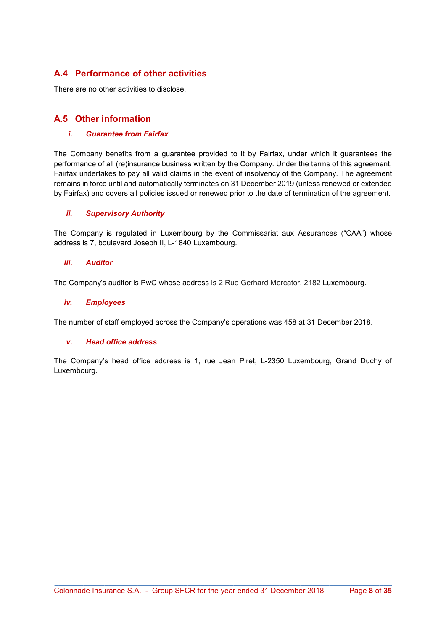### A.4 Performance of other activities

There are no other activities to disclose.

### A.5 Other information

### i. Guarantee from Fairfax

The Company benefits from a guarantee provided to it by Fairfax, under which it guarantees the performance of all (re)insurance business written by the Company. Under the terms of this agreement, Fairfax undertakes to pay all valid claims in the event of insolvency of the Company. The agreement remains in force until and automatically terminates on 31 December 2019 (unless renewed or extended by Fairfax) and covers all policies issued or renewed prior to the date of termination of the agreement.

### ii. Supervisory Authority

The Company is regulated in Luxembourg by the Commissariat aux Assurances ("CAA") whose address is 7, boulevard Joseph II, L-1840 Luxembourg.

### iii. Auditor

The Company's auditor is PwC whose address is 2 Rue Gerhard Mercator, 2182 Luxembourg.

### iv. Employees

The number of staff employed across the Company's operations was 458 at 31 December 2018.

### v. Head office address

The Company's head office address is 1, rue Jean Piret, L-2350 Luxembourg, Grand Duchy of Luxembourg.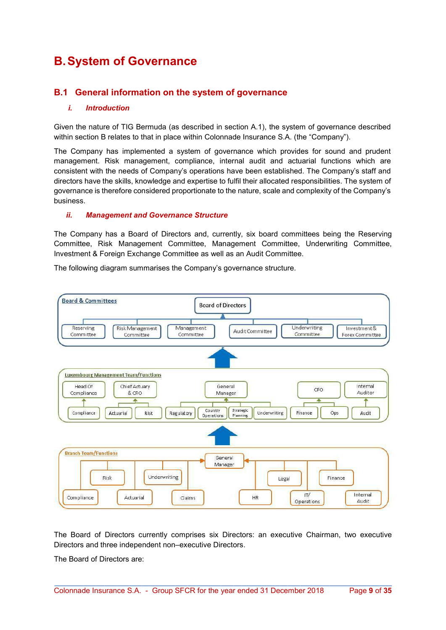## B. System of Governance

### B.1 General information on the system of governance

#### i. Introduction

Given the nature of TIG Bermuda (as described in section A.1), the system of governance described within section B relates to that in place within Colonnade Insurance S.A. (the "Company").

The Company has implemented a system of governance which provides for sound and prudent management. Risk management, compliance, internal audit and actuarial functions which are consistent with the needs of Company's operations have been established. The Company's staff and directors have the skills, knowledge and expertise to fulfil their allocated responsibilities. The system of governance is therefore considered proportionate to the nature, scale and complexity of the Company's business.

#### ii. Management and Governance Structure

The Company has a Board of Directors and, currently, six board committees being the Reserving Committee, Risk Management Committee, Management Committee, Underwriting Committee, Investment & Foreign Exchange Committee as well as an Audit Committee.

The following diagram summarises the Company's governance structure.



The Board of Directors currently comprises six Directors: an executive Chairman, two executive Directors and three independent non–executive Directors.

\_\_\_\_\_\_\_\_\_\_\_\_\_\_\_\_\_\_\_\_\_\_\_\_\_\_\_\_\_\_\_\_\_\_\_\_\_\_\_\_\_\_\_\_\_\_\_\_\_\_\_\_\_\_\_\_\_\_\_\_\_\_\_\_\_\_\_\_\_\_\_\_\_\_\_\_\_\_\_\_\_

The Board of Directors are: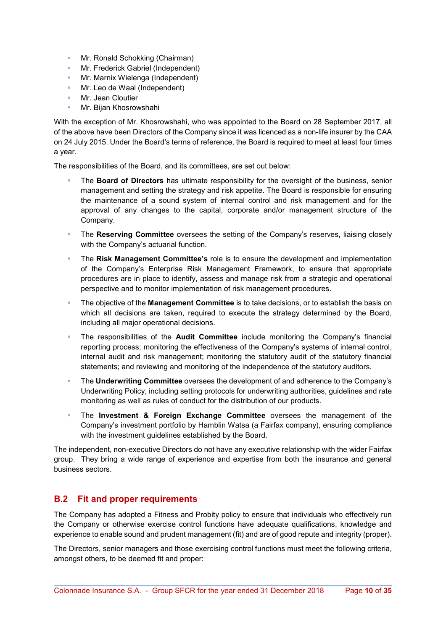- **Mr. Ronald Schokking (Chairman)**
- **Mr. Frederick Gabriel (Independent)**
- Mr. Marnix Wielenga (Independent)
- Mr. Leo de Waal (Independent)
- **Mr. Jean Cloutier**
- Mr. Bijan Khosrowshahi

With the exception of Mr. Khosrowshahi, who was appointed to the Board on 28 September 2017, all of the above have been Directors of the Company since it was licenced as a non-life insurer by the CAA on 24 July 2015. Under the Board's terms of reference, the Board is required to meet at least four times a year.

The responsibilities of the Board, and its committees, are set out below:

- The **Board of Directors** has ultimate responsibility for the oversight of the business, senior management and setting the strategy and risk appetite. The Board is responsible for ensuring the maintenance of a sound system of internal control and risk management and for the approval of any changes to the capital, corporate and/or management structure of the Company.
- The Reserving Committee oversees the setting of the Company's reserves, liaising closely with the Company's actuarial function.
- The Risk Management Committee's role is to ensure the development and implementation of the Company's Enterprise Risk Management Framework, to ensure that appropriate procedures are in place to identify, assess and manage risk from a strategic and operational perspective and to monitor implementation of risk management procedures.
- The objective of the **Management Committee** is to take decisions, or to establish the basis on which all decisions are taken, required to execute the strategy determined by the Board, including all major operational decisions.
- The responsibilities of the Audit Committee include monitoring the Company's financial reporting process; monitoring the effectiveness of the Company's systems of internal control, internal audit and risk management; monitoring the statutory audit of the statutory financial statements; and reviewing and monitoring of the independence of the statutory auditors.
- **The Underwriting Committee** oversees the development of and adherence to the Company's Underwriting Policy, including setting protocols for underwriting authorities, guidelines and rate monitoring as well as rules of conduct for the distribution of our products.
- **The Investment & Foreign Exchange Committee** oversees the management of the Company's investment portfolio by Hamblin Watsa (a Fairfax company), ensuring compliance with the investment guidelines established by the Board.

The independent, non-executive Directors do not have any executive relationship with the wider Fairfax group. They bring a wide range of experience and expertise from both the insurance and general business sectors.

### B.2 Fit and proper requirements

The Company has adopted a Fitness and Probity policy to ensure that individuals who effectively run the Company or otherwise exercise control functions have adequate qualifications, knowledge and experience to enable sound and prudent management (fit) and are of good repute and integrity (proper).

The Directors, senior managers and those exercising control functions must meet the following criteria, amongst others, to be deemed fit and proper: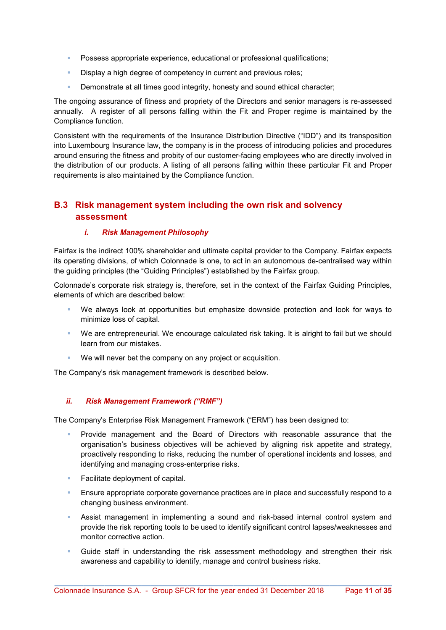- Possess appropriate experience, educational or professional qualifications;
- Display a high degree of competency in current and previous roles;
- **Demonstrate at all times good integrity, honesty and sound ethical character;**

The ongoing assurance of fitness and propriety of the Directors and senior managers is re-assessed annually. A register of all persons falling within the Fit and Proper regime is maintained by the Compliance function.

Consistent with the requirements of the Insurance Distribution Directive ("IDD") and its transposition into Luxembourg Insurance law, the company is in the process of introducing policies and procedures around ensuring the fitness and probity of our customer-facing employees who are directly involved in the distribution of our products. A listing of all persons falling within these particular Fit and Proper requirements is also maintained by the Compliance function.

### B.3 Risk management system including the own risk and solvency assessment

### i. Risk Management Philosophy

Fairfax is the indirect 100% shareholder and ultimate capital provider to the Company. Fairfax expects its operating divisions, of which Colonnade is one, to act in an autonomous de-centralised way within the guiding principles (the "Guiding Principles") established by the Fairfax group.

Colonnade's corporate risk strategy is, therefore, set in the context of the Fairfax Guiding Principles, elements of which are described below:

- We always look at opportunities but emphasize downside protection and look for ways to minimize loss of capital.
- We are entrepreneurial. We encourage calculated risk taking. It is alright to fail but we should learn from our mistakes.
- We will never bet the company on any project or acquisition.

The Company's risk management framework is described below.

### ii. Risk Management Framework ("RMF")

The Company's Enterprise Risk Management Framework ("ERM") has been designed to:

- Provide management and the Board of Directors with reasonable assurance that the organisation's business objectives will be achieved by aligning risk appetite and strategy, proactively responding to risks, reducing the number of operational incidents and losses, and identifying and managing cross-enterprise risks.
- Facilitate deployment of capital.
- **Ensure appropriate corporate governance practices are in place and successfully respond to a** changing business environment.
- Assist management in implementing a sound and risk-based internal control system and provide the risk reporting tools to be used to identify significant control lapses/weaknesses and monitor corrective action.
- Guide staff in understanding the risk assessment methodology and strengthen their risk awareness and capability to identify, manage and control business risks.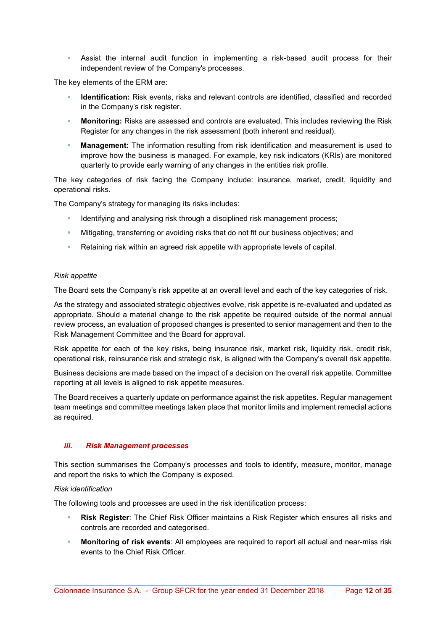Assist the internal audit function in implementing a risk-based audit process for their independent review of the Company's processes.

The key elements of the ERM are:

- Identification: Risk events, risks and relevant controls are identified, classified and recorded in the Company's risk register.
- **Monitoring:** Risks are assessed and controls are evaluated. This includes reviewing the Risk Register for any changes in the risk assessment (both inherent and residual).
- Management: The information resulting from risk identification and measurement is used to improve how the business is managed. For example, key risk indicators (KRIs) are monitored quarterly to provide early warning of any changes in the entities risk profile.

The key categories of risk facing the Company include: insurance, market, credit, liquidity and operational risks.

The Company's strategy for managing its risks includes:

- Identifying and analysing risk through a disciplined risk management process;
- **Mitigating, transferring or avoiding risks that do not fit our business objectives; and**
- Retaining risk within an agreed risk appetite with appropriate levels of capital.

#### Risk appetite

The Board sets the Company's risk appetite at an overall level and each of the key categories of risk.

As the strategy and associated strategic objectives evolve, risk appetite is re-evaluated and updated as appropriate. Should a material change to the risk appetite be required outside of the normal annual review process, an evaluation of proposed changes is presented to senior management and then to the Risk Management Committee and the Board for approval.

Risk appetite for each of the key risks, being insurance risk, market risk, liquidity risk, credit risk, operational risk, reinsurance risk and strategic risk, is aligned with the Company's overall risk appetite.

Business decisions are made based on the impact of a decision on the overall risk appetite. Committee reporting at all levels is aligned to risk appetite measures.

The Board receives a quarterly update on performance against the risk appetites. Regular management team meetings and committee meetings taken place that monitor limits and implement remedial actions as required.

#### iii. Risk Management processes

This section summarises the Company's processes and tools to identify, measure, monitor, manage and report the risks to which the Company is exposed.

#### Risk identification

The following tools and processes are used in the risk identification process:

- Risk Register: The Chief Risk Officer maintains a Risk Register which ensures all risks and controls are recorded and categorised.
- Monitoring of risk events: All employees are required to report all actual and near-miss risk events to the Chief Risk Officer.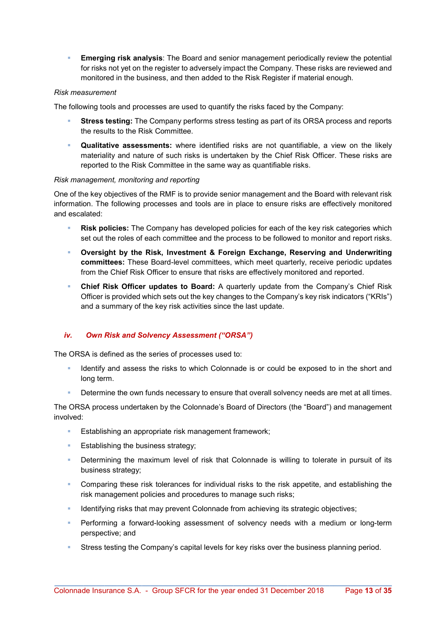**Emerging risk analysis:** The Board and senior management periodically review the potential for risks not yet on the register to adversely impact the Company. These risks are reviewed and monitored in the business, and then added to the Risk Register if material enough.

#### Risk measurement

The following tools and processes are used to quantify the risks faced by the Company:

- Stress testing: The Company performs stress testing as part of its ORSA process and reports the results to the Risk Committee.
- Qualitative assessments: where identified risks are not quantifiable, a view on the likely materiality and nature of such risks is undertaken by the Chief Risk Officer. These risks are reported to the Risk Committee in the same way as quantifiable risks.

#### Risk management, monitoring and reporting

One of the key objectives of the RMF is to provide senior management and the Board with relevant risk information. The following processes and tools are in place to ensure risks are effectively monitored and escalated:

- Risk policies: The Company has developed policies for each of the key risk categories which set out the roles of each committee and the process to be followed to monitor and report risks.
- Oversight by the Risk, Investment & Foreign Exchange, Reserving and Underwriting committees: These Board-level committees, which meet quarterly, receive periodic updates from the Chief Risk Officer to ensure that risks are effectively monitored and reported.
- **Chief Risk Officer updates to Board:** A quarterly update from the Company's Chief Risk Officer is provided which sets out the key changes to the Company's key risk indicators ("KRIs") and a summary of the key risk activities since the last update.

### iv. Own Risk and Solvency Assessment ("ORSA")

The ORSA is defined as the series of processes used to:

- Identify and assess the risks to which Colonnade is or could be exposed to in the short and long term.
- Determine the own funds necessary to ensure that overall solvency needs are met at all times.

The ORSA process undertaken by the Colonnade's Board of Directors (the "Board") and management involved:

- Establishing an appropriate risk management framework;
- **Establishing the business strategy;**
- Determining the maximum level of risk that Colonnade is willing to tolerate in pursuit of its business strategy;
- **Comparing these risk tolerances for individual risks to the risk appetite, and establishing the** risk management policies and procedures to manage such risks;
- Identifying risks that may prevent Colonnade from achieving its strategic objectives;
- Performing a forward-looking assessment of solvency needs with a medium or long-term perspective; and
- Stress testing the Company's capital levels for key risks over the business planning period.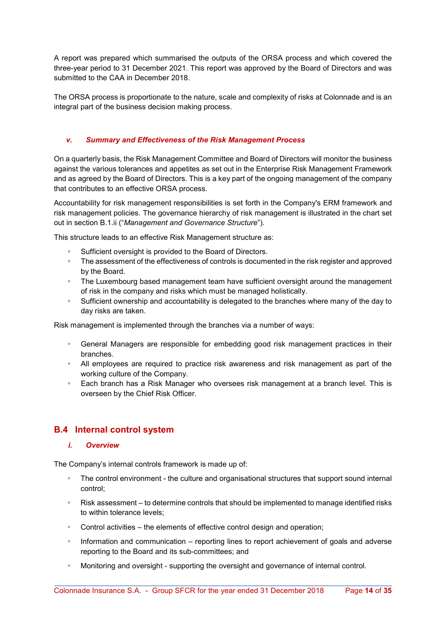A report was prepared which summarised the outputs of the ORSA process and which covered the three-year period to 31 December 2021. This report was approved by the Board of Directors and was submitted to the CAA in December 2018.

The ORSA process is proportionate to the nature, scale and complexity of risks at Colonnade and is an integral part of the business decision making process.

### v. Summary and Effectiveness of the Risk Management Process

On a quarterly basis, the Risk Management Committee and Board of Directors will monitor the business against the various tolerances and appetites as set out in the Enterprise Risk Management Framework and as agreed by the Board of Directors. This is a key part of the ongoing management of the company that contributes to an effective ORSA process.

Accountability for risk management responsibilities is set forth in the Company's ERM framework and risk management policies. The governance hierarchy of risk management is illustrated in the chart set out in section B.1.ii ("Management and Governance Structure").

This structure leads to an effective Risk Management structure as:

- Sufficient oversight is provided to the Board of Directors.
- **The assessment of the effectiveness of controls is documented in the risk register and approved** by the Board.
- **The Luxembourg based management team have sufficient oversight around the management** of risk in the company and risks which must be managed holistically.
- Sufficient ownership and accountability is delegated to the branches where many of the day to day risks are taken.

Risk management is implemented through the branches via a number of ways:

- General Managers are responsible for embedding good risk management practices in their branches.
- All employees are required to practice risk awareness and risk management as part of the working culture of the Company.
- **Each branch has a Risk Manager who oversees risk management at a branch level. This is** overseen by the Chief Risk Officer.

### B.4 Internal control system

### i. Overview

The Company's internal controls framework is made up of:

- The control environment the culture and organisational structures that support sound internal control;
- Risk assessment to determine controls that should be implemented to manage identified risks to within tolerance levels;
- Control activities the elements of effective control design and operation;
- **Information and communication reporting lines to report achievement of goals and adverse** reporting to the Board and its sub-committees; and
- Monitoring and oversight supporting the oversight and governance of internal control.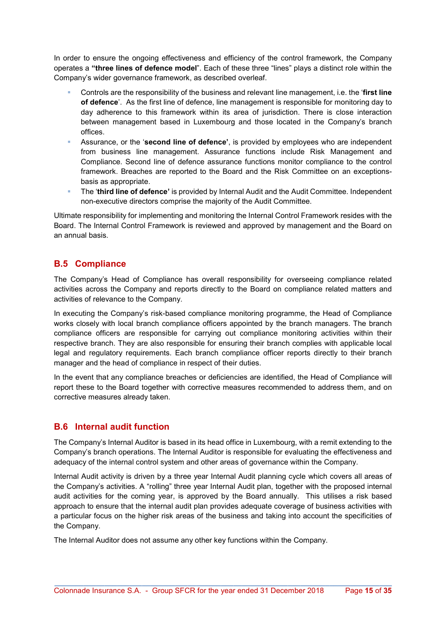In order to ensure the ongoing effectiveness and efficiency of the control framework, the Company operates a "three lines of defence model". Each of these three "lines" plays a distinct role within the Company's wider governance framework, as described overleaf.

- Controls are the responsibility of the business and relevant line management, i.e. the 'first line of defence'. As the first line of defence, line management is responsible for monitoring day to day adherence to this framework within its area of jurisdiction. There is close interaction between management based in Luxembourg and those located in the Company's branch offices.
- Assurance, or the 'second line of defence', is provided by employees who are independent from business line management. Assurance functions include Risk Management and Compliance. Second line of defence assurance functions monitor compliance to the control framework. Breaches are reported to the Board and the Risk Committee on an exceptionsbasis as appropriate.
- **The 'third line of defence'** is provided by Internal Audit and the Audit Committee. Independent non-executive directors comprise the majority of the Audit Committee.

Ultimate responsibility for implementing and monitoring the Internal Control Framework resides with the Board. The Internal Control Framework is reviewed and approved by management and the Board on an annual basis.

### B.5 Compliance

The Company's Head of Compliance has overall responsibility for overseeing compliance related activities across the Company and reports directly to the Board on compliance related matters and activities of relevance to the Company.

In executing the Company's risk-based compliance monitoring programme, the Head of Compliance works closely with local branch compliance officers appointed by the branch managers. The branch compliance officers are responsible for carrying out compliance monitoring activities within their respective branch. They are also responsible for ensuring their branch complies with applicable local legal and regulatory requirements. Each branch compliance officer reports directly to their branch manager and the head of compliance in respect of their duties.

In the event that any compliance breaches or deficiencies are identified, the Head of Compliance will report these to the Board together with corrective measures recommended to address them, and on corrective measures already taken.

### B.6 Internal audit function

The Company's Internal Auditor is based in its head office in Luxembourg, with a remit extending to the Company's branch operations. The Internal Auditor is responsible for evaluating the effectiveness and adequacy of the internal control system and other areas of governance within the Company.

Internal Audit activity is driven by a three year Internal Audit planning cycle which covers all areas of the Company's activities. A "rolling" three year Internal Audit plan, together with the proposed internal audit activities for the coming year, is approved by the Board annually. This utilises a risk based approach to ensure that the internal audit plan provides adequate coverage of business activities with a particular focus on the higher risk areas of the business and taking into account the specificities of the Company.

The Internal Auditor does not assume any other key functions within the Company.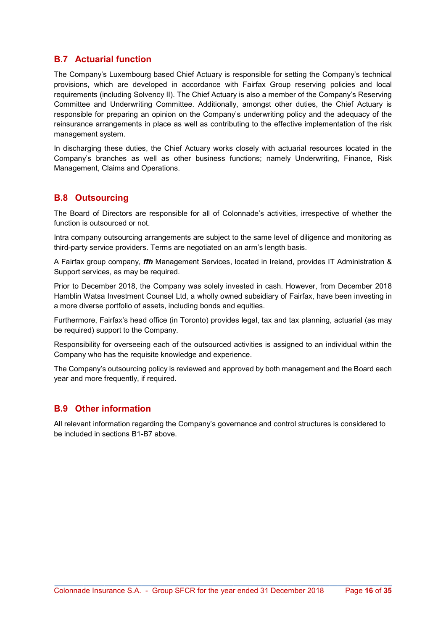### B.7 Actuarial function

The Company's Luxembourg based Chief Actuary is responsible for setting the Company's technical provisions, which are developed in accordance with Fairfax Group reserving policies and local requirements (including Solvency II). The Chief Actuary is also a member of the Company's Reserving Committee and Underwriting Committee. Additionally, amongst other duties, the Chief Actuary is responsible for preparing an opinion on the Company's underwriting policy and the adequacy of the reinsurance arrangements in place as well as contributing to the effective implementation of the risk management system.

In discharging these duties, the Chief Actuary works closely with actuarial resources located in the Company's branches as well as other business functions; namely Underwriting, Finance, Risk Management, Claims and Operations.

### B.8 Outsourcing

The Board of Directors are responsible for all of Colonnade's activities, irrespective of whether the function is outsourced or not.

Intra company outsourcing arrangements are subject to the same level of diligence and monitoring as third-party service providers. Terms are negotiated on an arm's length basis.

A Fairfax group company, *ffh* Management Services, located in Ireland, provides IT Administration & Support services, as may be required.

Prior to December 2018, the Company was solely invested in cash. However, from December 2018 Hamblin Watsa Investment Counsel Ltd, a wholly owned subsidiary of Fairfax, have been investing in a more diverse portfolio of assets, including bonds and equities.

Furthermore, Fairfax's head office (in Toronto) provides legal, tax and tax planning, actuarial (as may be required) support to the Company.

Responsibility for overseeing each of the outsourced activities is assigned to an individual within the Company who has the requisite knowledge and experience.

The Company's outsourcing policy is reviewed and approved by both management and the Board each year and more frequently, if required.

### B.9 Other information

All relevant information regarding the Company's governance and control structures is considered to be included in sections B1-B7 above.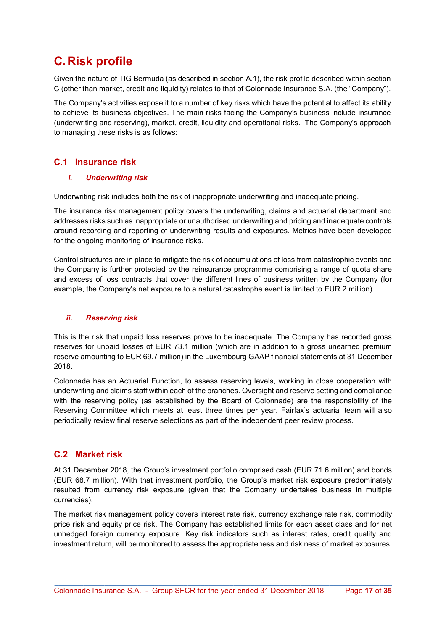## C. Risk profile

Given the nature of TIG Bermuda (as described in section A.1), the risk profile described within section C (other than market, credit and liquidity) relates to that of Colonnade Insurance S.A. (the "Company").

The Company's activities expose it to a number of key risks which have the potential to affect its ability to achieve its business objectives. The main risks facing the Company's business include insurance (underwriting and reserving), market, credit, liquidity and operational risks. The Company's approach to managing these risks is as follows:

### C.1 Insurance risk

### i. Underwriting risk

Underwriting risk includes both the risk of inappropriate underwriting and inadequate pricing.

The insurance risk management policy covers the underwriting, claims and actuarial department and addresses risks such as inappropriate or unauthorised underwriting and pricing and inadequate controls around recording and reporting of underwriting results and exposures. Metrics have been developed for the ongoing monitoring of insurance risks.

Control structures are in place to mitigate the risk of accumulations of loss from catastrophic events and the Company is further protected by the reinsurance programme comprising a range of quota share and excess of loss contracts that cover the different lines of business written by the Company (for example, the Company's net exposure to a natural catastrophe event is limited to EUR 2 million).

### ii. Reserving risk

This is the risk that unpaid loss reserves prove to be inadequate. The Company has recorded gross reserves for unpaid losses of EUR 73.1 million (which are in addition to a gross unearned premium reserve amounting to EUR 69.7 million) in the Luxembourg GAAP financial statements at 31 December 2018.

Colonnade has an Actuarial Function, to assess reserving levels, working in close cooperation with underwriting and claims staff within each of the branches. Oversight and reserve setting and compliance with the reserving policy (as established by the Board of Colonnade) are the responsibility of the Reserving Committee which meets at least three times per year. Fairfax's actuarial team will also periodically review final reserve selections as part of the independent peer review process.

### C.2 Market risk

At 31 December 2018, the Group's investment portfolio comprised cash (EUR 71.6 million) and bonds (EUR 68.7 million). With that investment portfolio, the Group's market risk exposure predominately resulted from currency risk exposure (given that the Company undertakes business in multiple currencies).

The market risk management policy covers interest rate risk, currency exchange rate risk, commodity price risk and equity price risk. The Company has established limits for each asset class and for net unhedged foreign currency exposure. Key risk indicators such as interest rates, credit quality and investment return, will be monitored to assess the appropriateness and riskiness of market exposures.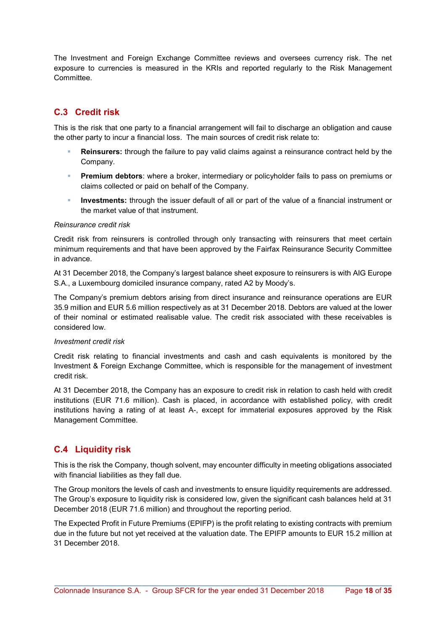The Investment and Foreign Exchange Committee reviews and oversees currency risk. The net exposure to currencies is measured in the KRIs and reported regularly to the Risk Management Committee.

### C.3 Credit risk

This is the risk that one party to a financial arrangement will fail to discharge an obligation and cause the other party to incur a financial loss. The main sources of credit risk relate to:

- Reinsurers: through the failure to pay valid claims against a reinsurance contract held by the Company.
- Premium debtors: where a broker, intermediary or policyholder fails to pass on premiums or claims collected or paid on behalf of the Company.
- Investments: through the issuer default of all or part of the value of a financial instrument or the market value of that instrument.

#### Reinsurance credit risk

Credit risk from reinsurers is controlled through only transacting with reinsurers that meet certain minimum requirements and that have been approved by the Fairfax Reinsurance Security Committee in advance.

At 31 December 2018, the Company's largest balance sheet exposure to reinsurers is with AIG Europe S.A., a Luxembourg domiciled insurance company, rated A2 by Moody's.

The Company's premium debtors arising from direct insurance and reinsurance operations are EUR 35.9 million and EUR 5.6 million respectively as at 31 December 2018. Debtors are valued at the lower of their nominal or estimated realisable value. The credit risk associated with these receivables is considered low.

#### Investment credit risk

Credit risk relating to financial investments and cash and cash equivalents is monitored by the Investment & Foreign Exchange Committee, which is responsible for the management of investment credit risk.

At 31 December 2018, the Company has an exposure to credit risk in relation to cash held with credit institutions (EUR 71.6 million). Cash is placed, in accordance with established policy, with credit institutions having a rating of at least A-, except for immaterial exposures approved by the Risk Management Committee.

### C.4 Liquidity risk

This is the risk the Company, though solvent, may encounter difficulty in meeting obligations associated with financial liabilities as they fall due.

The Group monitors the levels of cash and investments to ensure liquidity requirements are addressed. The Group's exposure to liquidity risk is considered low, given the significant cash balances held at 31 December 2018 (EUR 71.6 million) and throughout the reporting period.

The Expected Profit in Future Premiums (EPIFP) is the profit relating to existing contracts with premium due in the future but not yet received at the valuation date. The EPIFP amounts to EUR 15.2 million at 31 December 2018.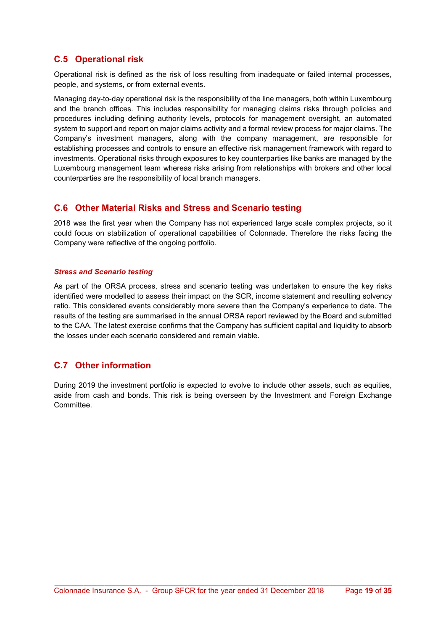### C.5 Operational risk

Operational risk is defined as the risk of loss resulting from inadequate or failed internal processes, people, and systems, or from external events.

Managing day-to-day operational risk is the responsibility of the line managers, both within Luxembourg and the branch offices. This includes responsibility for managing claims risks through policies and procedures including defining authority levels, protocols for management oversight, an automated system to support and report on major claims activity and a formal review process for major claims. The Company's investment managers, along with the company management, are responsible for establishing processes and controls to ensure an effective risk management framework with regard to investments. Operational risks through exposures to key counterparties like banks are managed by the Luxembourg management team whereas risks arising from relationships with brokers and other local counterparties are the responsibility of local branch managers.

### C.6 Other Material Risks and Stress and Scenario testing

2018 was the first year when the Company has not experienced large scale complex projects, so it could focus on stabilization of operational capabilities of Colonnade. Therefore the risks facing the Company were reflective of the ongoing portfolio.

### Stress and Scenario testing

As part of the ORSA process, stress and scenario testing was undertaken to ensure the key risks identified were modelled to assess their impact on the SCR, income statement and resulting solvency ratio. This considered events considerably more severe than the Company's experience to date. The results of the testing are summarised in the annual ORSA report reviewed by the Board and submitted to the CAA. The latest exercise confirms that the Company has sufficient capital and liquidity to absorb the losses under each scenario considered and remain viable.

### C.7 Other information

During 2019 the investment portfolio is expected to evolve to include other assets, such as equities, aside from cash and bonds. This risk is being overseen by the Investment and Foreign Exchange Committee.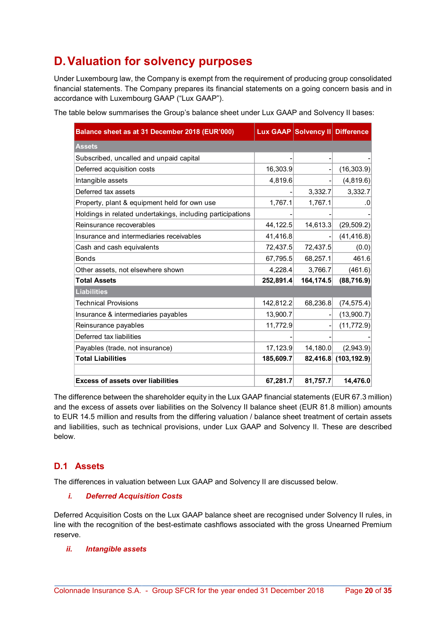## D. Valuation for solvency purposes

Under Luxembourg law, the Company is exempt from the requirement of producing group consolidated financial statements. The Company prepares its financial statements on a going concern basis and in accordance with Luxembourg GAAP ("Lux GAAP").

The table below summarises the Group's balance sheet under Lux GAAP and Solvency II bases:

| Balance sheet as at 31 December 2018 (EUR'000)             |           | Lux GAAP Solvency II Difference |              |
|------------------------------------------------------------|-----------|---------------------------------|--------------|
| <b>Assets</b>                                              |           |                                 |              |
| Subscribed, uncalled and unpaid capital                    |           |                                 |              |
| Deferred acquisition costs                                 | 16,303.9  |                                 | (16, 303.9)  |
| Intangible assets                                          | 4,819.6   |                                 | (4,819.6)    |
| Deferred tax assets                                        |           | 3,332.7                         | 3,332.7      |
| Property, plant & equipment held for own use               | 1,767.1   | 1,767.1                         | .0           |
| Holdings in related undertakings, including participations |           |                                 |              |
| Reinsurance recoverables                                   | 44,122.5  | 14,613.3                        | (29, 509.2)  |
| Insurance and intermediaries receivables                   | 41,416.8  |                                 | (41, 416.8)  |
| Cash and cash equivalents                                  | 72,437.5  | 72,437.5                        | (0.0)        |
| <b>Bonds</b>                                               | 67,795.5  | 68,257.1                        | 461.6        |
| Other assets, not elsewhere shown                          | 4,228.4   | 3,766.7                         | (461.6)      |
| <b>Total Assets</b>                                        | 252,891.4 | 164,174.5                       | (88, 716.9)  |
| <b>Liabilities</b>                                         |           |                                 |              |
| <b>Technical Provisions</b>                                | 142,812.2 | 68,236.8                        | (74, 575.4)  |
| Insurance & intermediaries payables                        | 13,900.7  |                                 | (13,900.7)   |
| Reinsurance payables                                       | 11,772.9  |                                 | (11, 772.9)  |
| Deferred tax liabilities                                   |           |                                 |              |
| Payables (trade, not insurance)                            | 17,123.9  | 14,180.0                        | (2,943.9)    |
| <b>Total Liabilities</b>                                   | 185,609.7 | 82,416.8                        | (103, 192.9) |
| <b>Excess of assets over liabilities</b>                   | 67,281.7  | 81,757.7                        | 14,476.0     |

The difference between the shareholder equity in the Lux GAAP financial statements (EUR 67.3 million) and the excess of assets over liabilities on the Solvency II balance sheet (EUR 81.8 million) amounts to EUR 14.5 million and results from the differing valuation / balance sheet treatment of certain assets and liabilities, such as technical provisions, under Lux GAAP and Solvency II. These are described below.

### D.1 Assets

The differences in valuation between Lux GAAP and Solvency II are discussed below.

### i. Deferred Acquisition Costs

Deferred Acquisition Costs on the Lux GAAP balance sheet are recognised under Solvency II rules, in line with the recognition of the best-estimate cashflows associated with the gross Unearned Premium reserve.

### ii. Intangible assets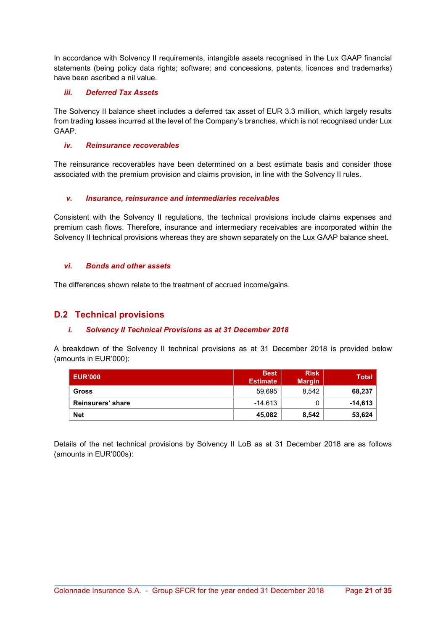In accordance with Solvency II requirements, intangible assets recognised in the Lux GAAP financial statements (being policy data rights; software; and concessions, patents, licences and trademarks) have been ascribed a nil value.

#### iii. Deferred Tax Assets

The Solvency II balance sheet includes a deferred tax asset of EUR 3.3 million, which largely results from trading losses incurred at the level of the Company's branches, which is not recognised under Lux GAAP.

#### iv. Reinsurance recoverables

The reinsurance recoverables have been determined on a best estimate basis and consider those associated with the premium provision and claims provision, in line with the Solvency II rules.

### v. Insurance, reinsurance and intermediaries receivables

Consistent with the Solvency II regulations, the technical provisions include claims expenses and premium cash flows. Therefore, insurance and intermediary receivables are incorporated within the Solvency II technical provisions whereas they are shown separately on the Lux GAAP balance sheet.

#### vi. Bonds and other assets

The differences shown relate to the treatment of accrued income/gains.

### D.2 Technical provisions

### i. Solvency II Technical Provisions as at 31 December 2018

A breakdown of the Solvency II technical provisions as at 31 December 2018 is provided below (amounts in EUR'000):

| <b>LEUR'000</b>   | <b>Best</b><br><b>Estimate</b> | <b>Risk</b><br><b>Margin</b> | <b>Total</b> |
|-------------------|--------------------------------|------------------------------|--------------|
| <b>Gross</b>      | 59,695                         | 8,542                        | 68,237       |
| Reinsurers' share | $-14.613$                      | 0                            | $-14,613$    |
| <b>Net</b>        | 45,082                         | 8,542                        | 53,624       |

Details of the net technical provisions by Solvency II LoB as at 31 December 2018 are as follows (amounts in EUR'000s):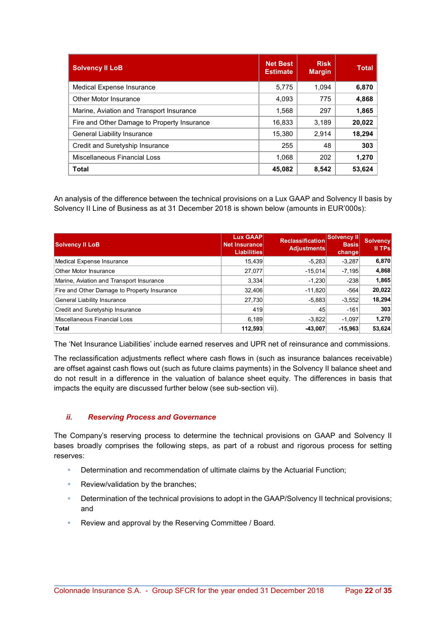| <b>Solvency II LoB</b>                      | <b>Net Best</b><br><b>Estimate</b> | <b>Risk</b><br><b>Margin</b> | <b>Total</b> |
|---------------------------------------------|------------------------------------|------------------------------|--------------|
| Medical Expense Insurance                   | 5,775                              | 1.094                        | 6,870        |
| Other Motor Insurance                       | 4,093                              | 775                          | 4,868        |
| Marine, Aviation and Transport Insurance    | 1,568                              | 297                          | 1,865        |
| Fire and Other Damage to Property Insurance | 16,833                             | 3,189                        | 20,022       |
| General Liability Insurance                 | 15,380                             | 2.914                        | 18,294       |
| Credit and Suretyship Insurance             | 255                                | 48                           | 303          |
| Miscellaneous Financial Loss                | 1,068                              | 202                          | 1,270        |
| <b>Total</b>                                | 45,082                             | 8,542                        | 53,624       |

An analysis of the difference between the technical provisions on a Lux GAAP and Solvency II basis by Solvency II Line of Business as at 31 December 2018 is shown below (amounts in EUR'000s):

| <b>Solvency II LoB</b>                      | Lux GAAP<br><b>Net Insurance</b><br><b>Liabilities</b> | <b>Reclassification</b><br>Adjustments | Solvency II<br><b>Basis</b><br>changel | <b>Solvency</b><br>$  $ TPs |
|---------------------------------------------|--------------------------------------------------------|----------------------------------------|----------------------------------------|-----------------------------|
| Medical Expense Insurance                   | 15,439                                                 | $-5,283$                               | $-3.287$                               | 6,870                       |
| Other Motor Insurance                       | 27,077                                                 | $-15.014$                              | $-7.195$                               | 4,868                       |
| Marine, Aviation and Transport Insurance    | 3,334                                                  | $-1,230$                               | $-238$                                 | 1,865                       |
| Fire and Other Damage to Property Insurance | 32,406                                                 | $-11,820$                              | $-564$                                 | 20,022                      |
| General Liability Insurance                 | 27,730                                                 | $-5,883$                               | $-3,552$                               | 18,294                      |
| Credit and Suretyship Insurance             | 419                                                    | 45                                     | $-161$                                 | 303                         |
| Miscellaneous Financial Loss                | 6,189                                                  | $-3,822$                               | $-1,097$                               | 1,270                       |
| <b>Total</b>                                | 112,593                                                | $-43,007$                              | $-15,963$                              | 53,624                      |

The 'Net Insurance Liabilities' include earned reserves and UPR net of reinsurance and commissions.

The reclassification adjustments reflect where cash flows in (such as insurance balances receivable) are offset against cash flows out (such as future claims payments) in the Solvency II balance sheet and do not result in a difference in the valuation of balance sheet equity. The differences in basis that impacts the equity are discussed further below (see sub-section vii).

### ii. Reserving Process and Governance

The Company's reserving process to determine the technical provisions on GAAP and Solvency II bases broadly comprises the following steps, as part of a robust and rigorous process for setting reserves:

- Determination and recommendation of ultimate claims by the Actuarial Function;
- **Review/validation by the branches;**
- Determination of the technical provisions to adopt in the GAAP/Solvency II technical provisions; and
- Review and approval by the Reserving Committee / Board.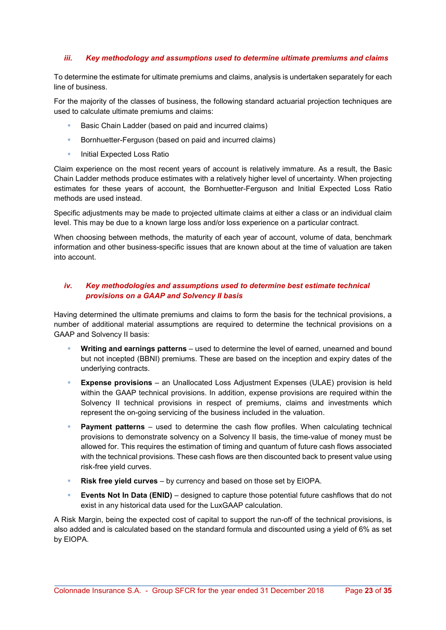### iii. Key methodology and assumptions used to determine ultimate premiums and claims

To determine the estimate for ultimate premiums and claims, analysis is undertaken separately for each line of business.

For the majority of the classes of business, the following standard actuarial projection techniques are used to calculate ultimate premiums and claims:

- Basic Chain Ladder (based on paid and incurred claims)
- **Bornhuetter-Ferguson (based on paid and incurred claims)**
- **Initial Expected Loss Ratio**

Claim experience on the most recent years of account is relatively immature. As a result, the Basic Chain Ladder methods produce estimates with a relatively higher level of uncertainty. When projecting estimates for these years of account, the Bornhuetter-Ferguson and Initial Expected Loss Ratio methods are used instead.

Specific adjustments may be made to projected ultimate claims at either a class or an individual claim level. This may be due to a known large loss and/or loss experience on a particular contract.

When choosing between methods, the maturity of each year of account, volume of data, benchmark information and other business-specific issues that are known about at the time of valuation are taken into account.

### iv. Key methodologies and assumptions used to determine best estimate technical provisions on a GAAP and Solvency II basis

Having determined the ultimate premiums and claims to form the basis for the technical provisions, a number of additional material assumptions are required to determine the technical provisions on a GAAP and Solvency II basis:

- Writing and earnings patterns used to determine the level of earned, unearned and bound but not incepted (BBNI) premiums. These are based on the inception and expiry dates of the underlying contracts.
- Expense provisions an Unallocated Loss Adjustment Expenses (ULAE) provision is held within the GAAP technical provisions. In addition, expense provisions are required within the Solvency II technical provisions in respect of premiums, claims and investments which represent the on-going servicing of the business included in the valuation.
- Payment patterns used to determine the cash flow profiles. When calculating technical provisions to demonstrate solvency on a Solvency II basis, the time-value of money must be allowed for. This requires the estimation of timing and quantum of future cash flows associated with the technical provisions. These cash flows are then discounted back to present value using risk-free yield curves.
- Risk free yield curves by currency and based on those set by EIOPA.
- Events Not In Data (ENID) designed to capture those potential future cashflows that do not exist in any historical data used for the LuxGAAP calculation.

A Risk Margin, being the expected cost of capital to support the run-off of the technical provisions, is also added and is calculated based on the standard formula and discounted using a yield of 6% as set by EIOPA.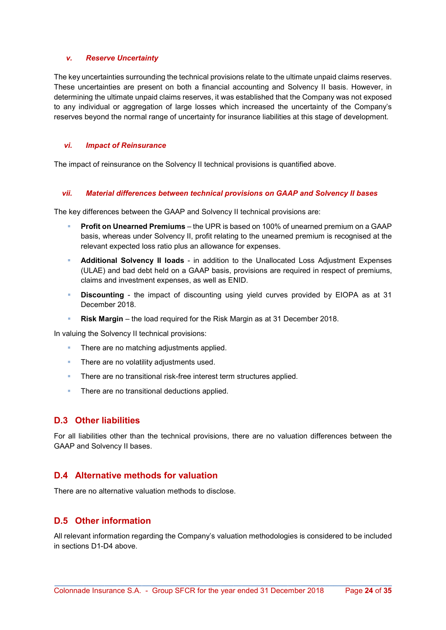#### v. Reserve Uncertainty

The key uncertainties surrounding the technical provisions relate to the ultimate unpaid claims reserves. These uncertainties are present on both a financial accounting and Solvency II basis. However, in determining the ultimate unpaid claims reserves, it was established that the Company was not exposed to any individual or aggregation of large losses which increased the uncertainty of the Company's reserves beyond the normal range of uncertainty for insurance liabilities at this stage of development.

#### vi. Impact of Reinsurance

The impact of reinsurance on the Solvency II technical provisions is quantified above.

#### vii. Material differences between technical provisions on GAAP and Solvency II bases

The key differences between the GAAP and Solvency II technical provisions are:

- Profit on Unearned Premiums the UPR is based on 100% of unearned premium on a GAAP basis, whereas under Solvency II, profit relating to the unearned premium is recognised at the relevant expected loss ratio plus an allowance for expenses.
- Additional Solvency II loads in addition to the Unallocated Loss Adjustment Expenses (ULAE) and bad debt held on a GAAP basis, provisions are required in respect of premiums, claims and investment expenses, as well as ENID.
- Discounting the impact of discounting using yield curves provided by EIOPA as at 31 December 2018.
- Risk Margin the load required for the Risk Margin as at 31 December 2018.

In valuing the Solvency II technical provisions:

- There are no matching adjustments applied.
- **There are no volatility adjustments used.**
- There are no transitional risk-free interest term structures applied.
- **There are no transitional deductions applied.**

### D.3 Other liabilities

For all liabilities other than the technical provisions, there are no valuation differences between the GAAP and Solvency II bases.

### D.4 Alternative methods for valuation

There are no alternative valuation methods to disclose.

### D.5 Other information

All relevant information regarding the Company's valuation methodologies is considered to be included in sections D1-D4 above.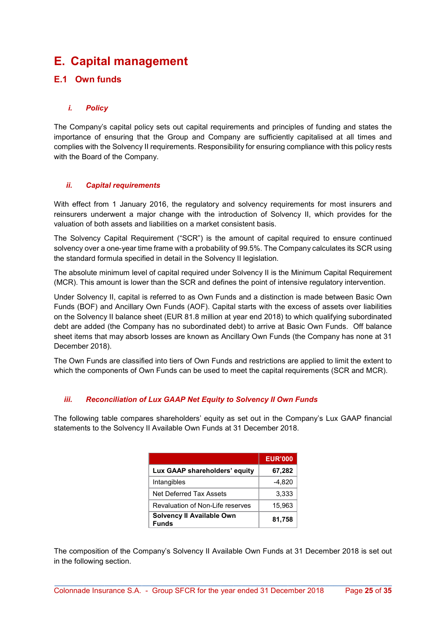## E. Capital management

### E.1 Own funds

### i. Policy

The Company's capital policy sets out capital requirements and principles of funding and states the importance of ensuring that the Group and Company are sufficiently capitalised at all times and complies with the Solvency II requirements. Responsibility for ensuring compliance with this policy rests with the Board of the Company.

#### ii. Capital requirements

With effect from 1 January 2016, the regulatory and solvency requirements for most insurers and reinsurers underwent a major change with the introduction of Solvency II, which provides for the valuation of both assets and liabilities on a market consistent basis.

The Solvency Capital Requirement ("SCR") is the amount of capital required to ensure continued solvency over a one-year time frame with a probability of 99.5%. The Company calculates its SCR using the standard formula specified in detail in the Solvency II legislation.

The absolute minimum level of capital required under Solvency II is the Minimum Capital Requirement (MCR). This amount is lower than the SCR and defines the point of intensive regulatory intervention.

Under Solvency II, capital is referred to as Own Funds and a distinction is made between Basic Own Funds (BOF) and Ancillary Own Funds (AOF). Capital starts with the excess of assets over liabilities on the Solvency II balance sheet (EUR 81.8 million at year end 2018) to which qualifying subordinated debt are added (the Company has no subordinated debt) to arrive at Basic Own Funds. Off balance sheet items that may absorb losses are known as Ancillary Own Funds (the Company has none at 31 December 2018).

The Own Funds are classified into tiers of Own Funds and restrictions are applied to limit the extent to which the components of Own Funds can be used to meet the capital requirements (SCR and MCR).

### iii. Reconciliation of Lux GAAP Net Equity to Solvency II Own Funds

The following table compares shareholders' equity as set out in the Company's Lux GAAP financial statements to the Solvency II Available Own Funds at 31 December 2018.

|                                           | <b>EUR'000</b> |
|-------------------------------------------|----------------|
| Lux GAAP shareholders' equity             | 67,282         |
| Intangibles                               | $-4,820$       |
| Net Deferred Tax Assets                   | 3,333          |
| Revaluation of Non-Life reserves          | 15,963         |
| Solvency II Available Own<br><b>Funds</b> | 81,758         |

The composition of the Company's Solvency II Available Own Funds at 31 December 2018 is set out in the following section.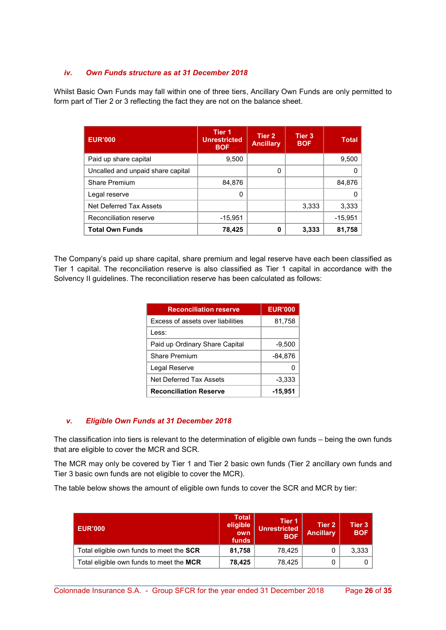### iv. Own Funds structure as at 31 December 2018

Whilst Basic Own Funds may fall within one of three tiers, Ancillary Own Funds are only permitted to form part of Tier 2 or 3 reflecting the fact they are not on the balance sheet.

| <b>EUR'000</b>                    | <b>Tier 1</b><br><b>Unrestricted</b><br><b>BOF</b> | Tier 2<br><b>Ancillary</b> | Tier <sub>3</sub><br><b>BOF</b> | <b>Total</b> |
|-----------------------------------|----------------------------------------------------|----------------------------|---------------------------------|--------------|
| Paid up share capital             | 9,500                                              |                            |                                 | 9,500        |
| Uncalled and unpaid share capital |                                                    | 0                          |                                 |              |
| <b>Share Premium</b>              | 84,876                                             |                            |                                 | 84,876       |
| Legal reserve                     | 0                                                  |                            |                                 |              |
| Net Deferred Tax Assets           |                                                    |                            | 3,333                           | 3,333        |
| Reconciliation reserve            | $-15,951$                                          |                            |                                 | $-15,951$    |
| <b>Total Own Funds</b>            | 78,425                                             | 0                          | 3,333                           | 81,758       |

The Company's paid up share capital, share premium and legal reserve have each been classified as Tier 1 capital. The reconciliation reserve is also classified as Tier 1 capital in accordance with the Solvency II guidelines. The reconciliation reserve has been calculated as follows:

| <b>Reconciliation reserve</b>            | <b>EUR'000</b> |
|------------------------------------------|----------------|
| <b>Excess of assets over liabilities</b> | 81,758         |
| l ess:                                   |                |
| Paid up Ordinary Share Capital           | $-9,500$       |
| <b>Share Premium</b>                     | $-84,876$      |
| Legal Reserve                            |                |
| Net Deferred Tax Assets                  | $-3,333$       |
| <b>Reconciliation Reserve</b>            | -15,951        |

### v. Eligible Own Funds at 31 December 2018

The classification into tiers is relevant to the determination of eligible own funds – being the own funds that are eligible to cover the MCR and SCR.

The MCR may only be covered by Tier 1 and Tier 2 basic own funds (Tier 2 ancillary own funds and Tier 3 basic own funds are not eligible to cover the MCR).

The table below shows the amount of eligible own funds to cover the SCR and MCR by tier:

| <b>EUR'000</b>                           | <b>Total</b><br>eligible<br>own<br>funds | Tier 1<br><b>Unrestricted</b><br><b>BOF</b> | Tier 2<br><b>Ancillary</b> | Tier 3<br><b>BOF</b> |
|------------------------------------------|------------------------------------------|---------------------------------------------|----------------------------|----------------------|
| Total eligible own funds to meet the SCR | 81,758                                   | 78.425                                      |                            | 3,333                |
| Total eligible own funds to meet the MCR | 78,425                                   | 78.425                                      |                            |                      |

\_\_\_\_\_\_\_\_\_\_\_\_\_\_\_\_\_\_\_\_\_\_\_\_\_\_\_\_\_\_\_\_\_\_\_\_\_\_\_\_\_\_\_\_\_\_\_\_\_\_\_\_\_\_\_\_\_\_\_\_\_\_\_\_\_\_\_\_\_\_\_\_\_\_\_\_\_\_\_\_\_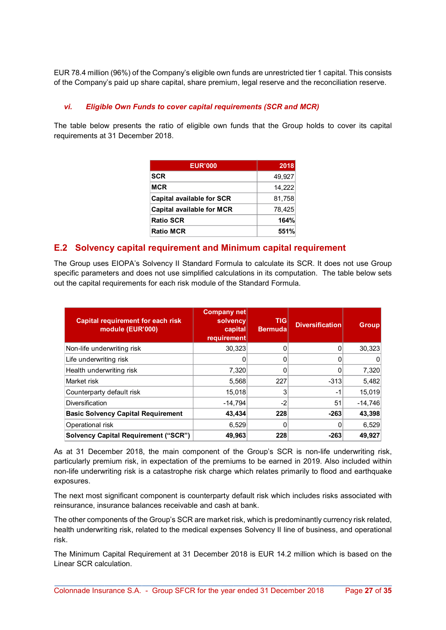EUR 78.4 million (96%) of the Company's eligible own funds are unrestricted tier 1 capital. This consists of the Company's paid up share capital, share premium, legal reserve and the reconciliation reserve.

### vi. Eligible Own Funds to cover capital requirements (SCR and MCR)

The table below presents the ratio of eligible own funds that the Group holds to cover its capital requirements at 31 December 2018.

| <b>EUR'000</b>                   | 2018   |
|----------------------------------|--------|
| <b>SCR</b>                       | 49,927 |
| <b>MCR</b>                       | 14,222 |
| <b>Capital available for SCR</b> | 81,758 |
| <b>Capital available for MCR</b> | 78,425 |
| <b>Ratio SCR</b>                 | 164%   |
| <b>Ratio MCR</b>                 | 551%   |

### E.2 Solvency capital requirement and Minimum capital requirement

The Group uses EIOPA's Solvency II Standard Formula to calculate its SCR. It does not use Group specific parameters and does not use simplified calculations in its computation. The table below sets out the capital requirements for each risk module of the Standard Formula.

| <b>Capital requirement for each risk</b><br>module (EUR'000) | Company net<br>solvency<br>capital<br>requirement | <b>TIGI</b><br><b>Bermuda</b> | <b>Diversification</b> | <b>Group</b> |
|--------------------------------------------------------------|---------------------------------------------------|-------------------------------|------------------------|--------------|
| Non-life underwriting risk                                   | 30,323                                            | 0                             |                        | 30,323       |
| Life underwriting risk                                       | 0                                                 | 0                             |                        | 0            |
| Health underwriting risk                                     | 7,320                                             | 0                             |                        | 7,320        |
| Market risk                                                  | 5,568                                             | 227                           | $-313$                 | 5,482        |
| Counterparty default risk                                    | 15,018                                            | 3                             | $-1$                   | 15,019       |
| <b>Diversification</b>                                       | $-14,794$                                         | $-2$                          | 51                     | $-14,746$    |
| <b>Basic Solvency Capital Requirement</b>                    | 43,434                                            | 228                           | $-263$                 | 43,398       |
| Operational risk                                             | 6,529                                             | 0                             |                        | 6,529        |
| <b>Solvency Capital Requirement ("SCR")</b>                  | 49,963                                            | 228                           | $-263$                 | 49,927       |

As at 31 December 2018, the main component of the Group's SCR is non-life underwriting risk, particularly premium risk, in expectation of the premiums to be earned in 2019. Also included within non-life underwriting risk is a catastrophe risk charge which relates primarily to flood and earthquake exposures.

The next most significant component is counterparty default risk which includes risks associated with reinsurance, insurance balances receivable and cash at bank.

The other components of the Group's SCR are market risk, which is predominantly currency risk related, health underwriting risk, related to the medical expenses Solvency II line of business, and operational risk.

The Minimum Capital Requirement at 31 December 2018 is EUR 14.2 million which is based on the Linear SCR calculation.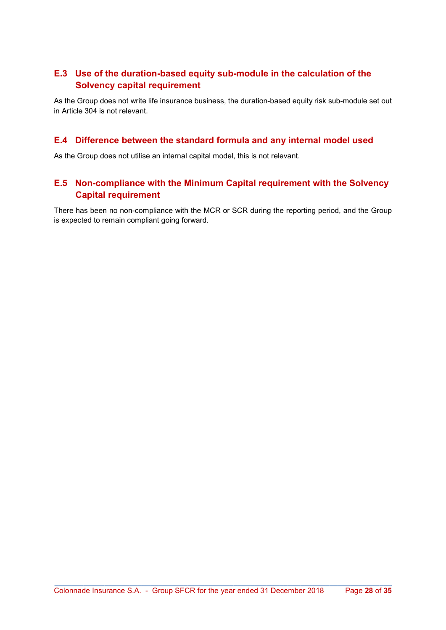### E.3 Use of the duration-based equity sub-module in the calculation of the Solvency capital requirement

As the Group does not write life insurance business, the duration-based equity risk sub-module set out in Article 304 is not relevant.

### E.4 Difference between the standard formula and any internal model used

As the Group does not utilise an internal capital model, this is not relevant.

### E.5 Non-compliance with the Minimum Capital requirement with the Solvency Capital requirement

There has been no non-compliance with the MCR or SCR during the reporting period, and the Group is expected to remain compliant going forward.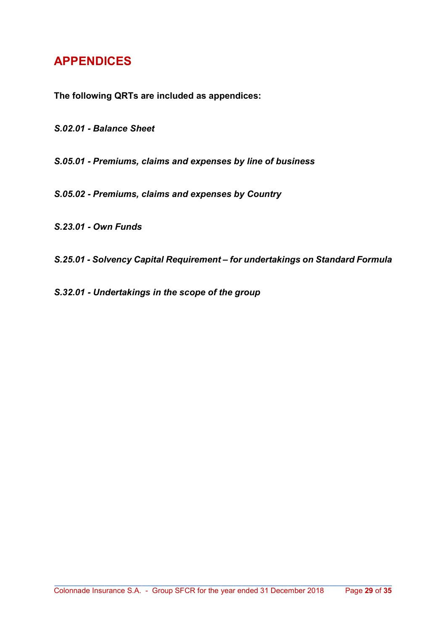## APPENDICES

The following QRTs are included as appendices:

S.02.01 - Balance Sheet

S.05.01 - Premiums, claims and expenses by line of business

S.05.02 - Premiums, claims and expenses by Country

S.23.01 - Own Funds

S.25.01 - Solvency Capital Requirement – for undertakings on Standard Formula

S.32.01 - Undertakings in the scope of the group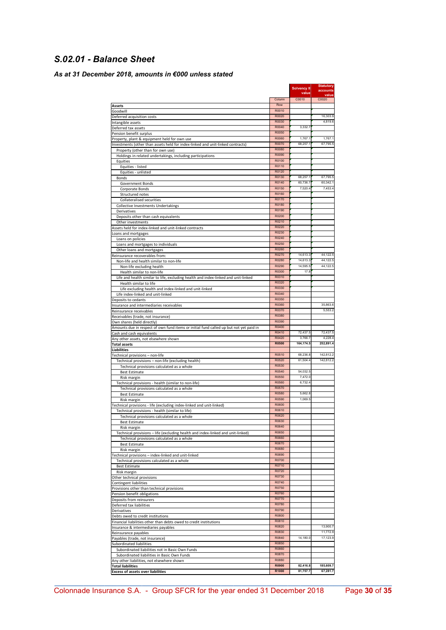### S.02.01 - Balance Sheet

### As at 31 December 2018, amounts in €000 unless stated

|                                                                                        |                | Solvency II<br>value | Statutory<br>accounts |
|----------------------------------------------------------------------------------------|----------------|----------------------|-----------------------|
|                                                                                        | Column         | C0010                | value<br>C0020        |
| Assets                                                                                 | Row            |                      |                       |
| Goodwill                                                                               | R0010          |                      |                       |
| Deferred acquisition costs                                                             | R0020          |                      | 16,303.9              |
| Intangible assets                                                                      | R0030<br>R0040 | 3,332.7              | 4,819.6               |
| Deferred tax assets<br>Pension benefit surplus                                         | R0050          |                      |                       |
| Property, plant & equipment held for own use                                           | R0060          | 1,767.1              | 1,767.1               |
| Investments (other than assets held for index-linked and unit-linked contracts)        | R0070          | 68,257.1             | 67,795.5              |
| Property (other than for own use)                                                      | R0080          |                      |                       |
| Holdings in related undertakings, including participations                             | R0090          |                      |                       |
| Equities                                                                               | R0100          |                      |                       |
| Equities - listed                                                                      | R0110          |                      |                       |
| Equities - unlisted                                                                    | R0120<br>R0130 | 68,257.1             | 67,795.5              |
| Bonds<br>Government Bonds                                                              | R0140          | 60,736.7             | 60,342.1              |
| Corporate Bonds                                                                        | R0150          | 7,520.4              | 7,453.4               |
| Structured notes                                                                       | R0160          |                      |                       |
| Collateralised securities                                                              | R0170          |                      |                       |
| Collective Investments Undertakings                                                    | R0180          |                      |                       |
| Derivatives                                                                            | R0190          |                      |                       |
| Deposits other than cash equivalents                                                   | R0200          |                      |                       |
| Other investments                                                                      | R0210          |                      |                       |
| Assets held for index-linked and unit-linked contracts                                 | R0220          |                      |                       |
| Loans and mortgages                                                                    | R0230<br>R0240 |                      |                       |
| Loans on policies                                                                      | R0250          |                      |                       |
| Loans and mortgages to individuals                                                     | R0260          |                      |                       |
| Other loans and mortgages<br>Reinsurance recoverables from:                            | R0270          | 14,613.3             | 44,122.5              |
| Non-life and health similar to non-life                                                | R0280          | 14,613.3             | 44,122.5              |
| Non-life excluding health                                                              | R0290          | 14,595.5             | 44,122.5              |
| Health similar to non-life                                                             | R0300          | 17.8                 |                       |
| Life and health similar to life, excluding health and index-linked and unit-linked     | R0310          |                      |                       |
| Health similar to life                                                                 | R0320          |                      |                       |
| Life excluding health and index-linked and unit-linked                                 | R0330          |                      |                       |
| Life index-linked and unit-linked                                                      | R0340          |                      |                       |
| Deposits to cedants                                                                    | R0350          |                      |                       |
| Insurance and intermediaries receivables                                               | R0360<br>R0370 |                      | 35,863.6<br>5,553.2   |
| Reinsurance receivables                                                                | R0380          |                      |                       |
| Receivables (trade, not insurance)<br>Own shares (held directly)                       | R0390          |                      |                       |
| Amounts due in respect of own fund items or initial fund called up but not yet paid in | R0400          |                      |                       |
| Cash and cash equivalents                                                              | R0410          | 72,437.5             | 72,437.5              |
| Any other assets, not elsewhere shown                                                  | R0420          | 3,766.7              | 4,228.4               |
| <b>Total assets</b>                                                                    | <b>R0500</b>   | 164,174.5            | 252,891.4             |
| <b>Liabilities</b>                                                                     |                |                      |                       |
| Technical provisions - non-life                                                        | R0510          | 68,236.8             | 142,812.2             |
| Technical provisions - non-life (excluding health)                                     | R0520<br>R0530 | 61,504.4             | 142,812.2             |
| Technical provisions calculated as a whole                                             | R0540          | 54,032.5             |                       |
| <b>Best Estimate</b><br>Risk margin                                                    | R0550          | 7,472.0              |                       |
| Technical provisions - health (similar to non-life)                                    | R0560          | 6.732.4              |                       |
| Technical provisions calculated as a whole                                             | R0570          |                      |                       |
| <b>Best Estimate</b>                                                                   | R0580          | 5,662.8              |                       |
| Risk margin                                                                            | R0590          | 1.069.5              |                       |
| Technical provisions - life (excluding index-linked and unit-linked)                   | R0600          |                      |                       |
| Technical provisions - health (similar to life)                                        | R0610          |                      |                       |
| Technical provisions calculated as a whole                                             | R0620          |                      |                       |
| <b>Best Estimate</b>                                                                   | <b>ROP30</b>   |                      |                       |
| Risk margin                                                                            | R0640<br>R0650 |                      |                       |
| Technical provisions - life (excluding health and index-linked and unit-linked)        | R0660          |                      |                       |
| Technical provisions calculated as a whole<br><b>Best Estimate</b>                     | R0670          |                      |                       |
| Risk margin                                                                            | R0680          |                      |                       |
| Technical provisions - index-linked and unit-linked                                    | R0690          |                      |                       |
| Technical provisions calculated as a whole                                             | R0700          |                      |                       |
| <b>Best Estimate</b>                                                                   | R0710          |                      |                       |
| Risk margin                                                                            | R0720          |                      |                       |
| Other technical provisions                                                             | R0730          |                      |                       |
| Contingent liabilities                                                                 | R0740          |                      |                       |
| Provisions other than technical provisions                                             | R0750<br>R0760 |                      |                       |
| Pension benefit obligations<br>Deposits from reinsurers                                | R0770          |                      |                       |
| Deferred tax liabilities                                                               | R0780          |                      |                       |
| Derivatives                                                                            | R0790          |                      |                       |
| Debts owed to credit institutions                                                      | R0800          |                      |                       |
| Financial liabilities other than debts owed to credit institutions                     | R0810          |                      |                       |
| Insurance & intermediaries payables                                                    | R0820          |                      | 13,900.7              |
| Reinsurance payables                                                                   | R0830          |                      | 11,772.9              |
| Payables (trade, not insurance)                                                        | R0840          | 14,180.0             | 17,123.9              |
| Subordinated liabilities                                                               | R0850          |                      |                       |
| Subordinated liabilities not in Basic Own Funds                                        | R0860          |                      |                       |
| Subordinated liabilities in Basic Own Funds                                            | R0870          |                      |                       |
| Any other liabilities, not elsewhere shown                                             | R0880<br>R0900 | 82,416.8             | 185,609.7             |
| <b>Total liabilities</b>                                                               |                | 81,757.7             | 67,281.7              |
| <b>Excess of assets over liabilities</b>                                               | R1000          |                      |                       |

\_\_\_\_\_\_\_\_\_\_\_\_\_\_\_\_\_\_\_\_\_\_\_\_\_\_\_\_\_\_\_\_\_\_\_\_\_\_\_\_\_\_\_\_\_\_\_\_\_\_\_\_\_\_\_\_\_\_\_\_\_\_\_\_\_\_\_\_\_\_\_\_\_\_\_\_\_\_\_\_\_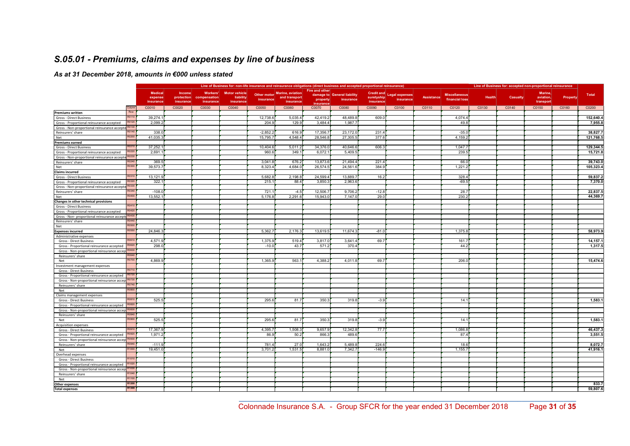### S.05.01 - Premiums, claims and expenses by line of business

#### As at 31 December 2018, amounts in €000 unless stated

|                                                                       |                   | Line of Business for: non-life insurance and reinsurance obligations (direct business and accepted proportional reinsurance) |                                          |                                              |                                   |                                                                                                                                                                                  |         |           |          |                                       |                                    |                   | Line of Business for: accepted non-proportional reinsurance |               |                 |                                   |          |           |  |
|-----------------------------------------------------------------------|-------------------|------------------------------------------------------------------------------------------------------------------------------|------------------------------------------|----------------------------------------------|-----------------------------------|----------------------------------------------------------------------------------------------------------------------------------------------------------------------------------|---------|-----------|----------|---------------------------------------|------------------------------------|-------------------|-------------------------------------------------------------|---------------|-----------------|-----------------------------------|----------|-----------|--|
|                                                                       |                   | <b>Medical</b><br>expense<br>insurance                                                                                       | <b>Income</b><br>protection<br>insurance | <b>Workers'</b><br>compensation<br>insurance | <b>Motor vehicle</b><br>liability | Fire and other<br><b>Marine</b> , aviation<br>damage to General liability<br>Other motor<br>and transport<br><i>insurance</i><br>property<br>insurance<br>insurance<br>insurance |         |           |          | Credit and<br>suretyship<br>insurance | <b>Legal expenses</b><br>insurance | <b>Assistance</b> | <b>Miscellaneous</b><br>financial loss                      | <b>Health</b> | <b>Casualty</b> | Marine,<br>aviation,<br>transport | Property | Total     |  |
|                                                                       | Column            |                                                                                                                              |                                          |                                              | C0040                             |                                                                                                                                                                                  | C0060   | insurance |          |                                       |                                    |                   |                                                             |               | C0140           |                                   |          | C0200     |  |
|                                                                       | Row               | C0010                                                                                                                        | C0020                                    | C0030                                        |                                   | C0050                                                                                                                                                                            |         | C0070     | C0080    | C0090                                 | C0100                              | C0110             | C0120                                                       | C0130         |                 | C0150                             | C0160    |           |  |
| <b>Premiums written</b><br>Gross - Direct Business                    | R0110             | 39,274.1                                                                                                                     |                                          |                                              |                                   | 12,738.6                                                                                                                                                                         | 5,035.4 | 42,419.2  | 48,489.8 | 609.0                                 |                                    |                   | 4,074.4                                                     |               |                 |                                   |          | 152,640.4 |  |
| Gross - Proportional reinsurance accepted                             | R0120             | 2.099.2                                                                                                                      |                                          |                                              |                                   | 204.9                                                                                                                                                                            | 129.9   | 3,484.4   | 1,987.7  |                                       |                                    |                   | 49.8                                                        |               |                 |                                   |          | 7,955.8   |  |
| Gross - Non-proportional reinsurance accepte                          | R0130             |                                                                                                                              |                                          |                                              |                                   |                                                                                                                                                                                  |         |           |          |                                       |                                    |                   |                                                             |               |                 |                                   |          |           |  |
| Reinsurers' share                                                     | R0140             | 338.0                                                                                                                        |                                          |                                              |                                   | $-2,852.2$                                                                                                                                                                       | 616.9   | 17,356.7  | 23,172.0 | 231.4                                 |                                    |                   | $-35.0$                                                     |               |                 |                                   |          | 38,827.7  |  |
| Net                                                                   | R <sub>0200</sub> | 41,035.3                                                                                                                     |                                          |                                              |                                   | 15,795.7                                                                                                                                                                         | 4.548.4 | 28,546.8  | 27,305.5 | 377.6                                 |                                    |                   | 4,159.2                                                     |               |                 |                                   |          | 121,768.5 |  |
| <b>Premiums earned</b>                                                |                   |                                                                                                                              |                                          |                                              |                                   |                                                                                                                                                                                  |         |           |          |                                       |                                    |                   |                                                             |               |                 |                                   |          |           |  |
| Gross - Direct Business                                               | 20210             | 37,252.1                                                                                                                     |                                          |                                              |                                   | 10,404.6                                                                                                                                                                         | 5,011.2 | 34,376.0  | 40,646.6 | 606.3                                 |                                    |                   | 1,047.                                                      |               |                 |                                   |          | 129,344.5 |  |
| Gross - Proportional reinsurance accepted                             | R0220             | 2,691.1                                                                                                                      |                                          |                                              |                                   | 960.6                                                                                                                                                                            | 349.1   | 6,072.    | 5,409.5  |                                       |                                    |                   | 239.5                                                       |               |                 |                                   |          | 15,721.8  |  |
| Gross - Non-proportional reinsurance accepte                          |                   |                                                                                                                              |                                          |                                              |                                   |                                                                                                                                                                                  |         |           |          |                                       |                                    |                   |                                                             |               |                 |                                   |          |           |  |
| Reinsurers' share                                                     | 30240             | 369.5                                                                                                                        |                                          |                                              |                                   | 3,041.8                                                                                                                                                                          | 676.2   | 13,873.6  | 21,494.4 | 221.4                                 |                                    |                   | 66.0                                                        |               |                 |                                   |          | 39,743.0  |  |
| Net                                                                   | R0300             | 39,573.7                                                                                                                     |                                          |                                              |                                   | 8,323.4                                                                                                                                                                          | 4,684.0 | 26,574.5  | 24,561.6 | 384.9                                 |                                    |                   | 1,221.2                                                     |               |                 |                                   |          | 105,323.4 |  |
| <b>Claims incurred</b>                                                |                   |                                                                                                                              |                                          |                                              |                                   |                                                                                                                                                                                  |         |           |          |                                       |                                    |                   |                                                             |               |                 |                                   |          |           |  |
| Gross - Direct Business                                               | R0310             | 13,121.9                                                                                                                     |                                          |                                              |                                   | 5,682.8                                                                                                                                                                          | 2,198.8 | 24,599.4  | 13,889.  | 16.2                                  |                                    |                   | 328.4                                                       |               |                 |                                   |          | 59,837.2  |  |
| Gross - Proportional reinsurance accepted                             |                   | 322.1                                                                                                                        |                                          |                                              |                                   | 215.1                                                                                                                                                                            | 88.4    | 3,850.3   | 2,963.6  |                                       |                                    |                   | $-69.5$                                                     |               |                 |                                   |          | 7,370.0   |  |
| Gross - Non-proportional reinsurance accepte                          |                   |                                                                                                                              |                                          |                                              |                                   |                                                                                                                                                                                  |         |           |          |                                       |                                    |                   |                                                             |               |                 |                                   |          |           |  |
| Reinsurers' share                                                     | 340               | $-108.0$                                                                                                                     |                                          |                                              |                                   | 721.1                                                                                                                                                                            | $-4.5$  | 12,506.   | 9,706.2  | $-12.8$                               |                                    |                   | 28.                                                         |               |                 |                                   |          | 22,837.5  |  |
| Net                                                                   | R0400             | 13,552.                                                                                                                      |                                          |                                              |                                   | 5,176.8                                                                                                                                                                          | 2,291.6 | 15,943.0  | 7,147.0  | 29.0                                  |                                    |                   | 230.2                                                       |               |                 |                                   |          | 44,369.7  |  |
| Changes in other technical provisions                                 |                   |                                                                                                                              |                                          |                                              |                                   |                                                                                                                                                                                  |         |           |          |                                       |                                    |                   |                                                             |               |                 |                                   |          |           |  |
| Gross - Direct Business                                               | R0410             |                                                                                                                              |                                          |                                              |                                   |                                                                                                                                                                                  |         |           |          |                                       |                                    |                   |                                                             |               |                 |                                   |          |           |  |
| Gross - Proportional reinsurance accepted                             | R0420             |                                                                                                                              |                                          |                                              |                                   |                                                                                                                                                                                  |         |           |          |                                       |                                    |                   |                                                             |               |                 |                                   |          |           |  |
| Gross - Non- proportional reinsurance accepte                         | R0430             |                                                                                                                              |                                          |                                              |                                   |                                                                                                                                                                                  |         |           |          |                                       |                                    |                   |                                                             |               |                 |                                   |          |           |  |
| Reinsurers' share                                                     | R0440             |                                                                                                                              |                                          |                                              |                                   |                                                                                                                                                                                  |         |           |          |                                       |                                    |                   |                                                             |               |                 |                                   |          |           |  |
| Net                                                                   | <b>R0500</b>      |                                                                                                                              |                                          |                                              |                                   |                                                                                                                                                                                  |         |           |          |                                       |                                    |                   |                                                             |               |                 |                                   |          |           |  |
| <b>Expenses incurred</b>                                              | R0550             | 24,846.3                                                                                                                     |                                          |                                              |                                   | 5,362.7                                                                                                                                                                          | 2,176.3 | 13,619.5  | 11,674.3 | $-81.0$                               |                                    |                   | 1,375.8                                                     |               |                 |                                   |          | 58,973.9  |  |
| Administrative expenses                                               |                   |                                                                                                                              |                                          |                                              |                                   |                                                                                                                                                                                  |         |           |          |                                       |                                    |                   |                                                             |               |                 |                                   |          |           |  |
| <b>Gross - Direct Business</b>                                        | 1605              | 4.571.9                                                                                                                      |                                          |                                              |                                   | 1,375.9                                                                                                                                                                          | 519.4   | 3,817.0   | 3,641.4  | 69.7                                  |                                    |                   | 161.7                                                       |               |                 |                                   |          | 14,157.1  |  |
| Gross - Proportional reinsurance accepted                             | <b>RO620</b>      | 298.0                                                                                                                        |                                          |                                              |                                   | $-10.0$                                                                                                                                                                          | 43.7    | 571.2     | 370.4    |                                       |                                    |                   | 44.2                                                        |               |                 |                                   |          | 1,317.5   |  |
| Gross - Non-proportional reinsurance accep                            | R0630             |                                                                                                                              |                                          |                                              |                                   |                                                                                                                                                                                  |         |           |          |                                       |                                    |                   |                                                             |               |                 |                                   |          |           |  |
| Reinsurers' share                                                     |                   |                                                                                                                              |                                          |                                              |                                   |                                                                                                                                                                                  |         |           |          |                                       |                                    |                   |                                                             |               |                 |                                   |          |           |  |
| Net                                                                   | <b>R0700</b>      | 4,869.9                                                                                                                      |                                          |                                              |                                   | 1,365.9                                                                                                                                                                          | 563.1   | 4,388.2   | 4,011.8  | 69.7                                  |                                    |                   | 206.0                                                       |               |                 |                                   |          | 15,474.6  |  |
| Investment management expenses                                        | R0710             |                                                                                                                              |                                          |                                              |                                   |                                                                                                                                                                                  |         |           |          |                                       |                                    |                   |                                                             |               |                 |                                   |          |           |  |
| Gross - Direct Business                                               | R0720             |                                                                                                                              |                                          |                                              |                                   |                                                                                                                                                                                  |         |           |          |                                       |                                    |                   |                                                             |               |                 |                                   |          |           |  |
| Gross - Proportional reinsurance accepted                             |                   |                                                                                                                              |                                          |                                              |                                   |                                                                                                                                                                                  |         |           |          |                                       |                                    |                   |                                                             |               |                 |                                   |          |           |  |
| Gross - Non-proportional reinsurance accep R0730<br>Reinsurers' share | R0740             |                                                                                                                              |                                          |                                              |                                   |                                                                                                                                                                                  |         |           |          |                                       |                                    |                   |                                                             |               |                 |                                   |          |           |  |
| Net                                                                   | R0800             |                                                                                                                              |                                          |                                              |                                   |                                                                                                                                                                                  |         |           |          |                                       |                                    |                   |                                                             |               |                 |                                   |          |           |  |
| Claims management expenses                                            |                   |                                                                                                                              |                                          |                                              |                                   |                                                                                                                                                                                  |         |           |          |                                       |                                    |                   |                                                             |               |                 |                                   |          |           |  |
| Gross - Direct Business                                               | R0810             | 525.5                                                                                                                        |                                          |                                              |                                   | 295.6                                                                                                                                                                            | 81.7    | 350.3     | 319.8    | $-3.9$                                |                                    |                   | 14.1                                                        |               |                 |                                   |          | 1,583.1   |  |
| Gross - Proportional reinsurance accepted                             | 30820             |                                                                                                                              |                                          |                                              |                                   |                                                                                                                                                                                  |         |           |          |                                       |                                    |                   |                                                             |               |                 |                                   |          |           |  |
| Gross - Non-proportional reinsurance accep                            | R0830             |                                                                                                                              |                                          |                                              |                                   |                                                                                                                                                                                  |         |           |          |                                       |                                    |                   |                                                             |               |                 |                                   |          |           |  |
| Reinsurers' share                                                     | 30840             |                                                                                                                              |                                          |                                              |                                   |                                                                                                                                                                                  |         |           |          |                                       |                                    |                   |                                                             |               |                 |                                   |          |           |  |
| Net                                                                   | R0900             | 525.5                                                                                                                        |                                          |                                              |                                   | 295.6                                                                                                                                                                            | 81.7    | 350.      | 319.8    | $-3.9$                                |                                    |                   | 14.1                                                        |               |                 |                                   |          | 1,583.1   |  |
| Acquisition expenses                                                  |                   |                                                                                                                              |                                          |                                              |                                   |                                                                                                                                                                                  |         |           |          |                                       |                                    |                   |                                                             |               |                 |                                   |          |           |  |
| Gross - Direct Business                                               |                   | 17,367.9                                                                                                                     |                                          |                                              |                                   | 4,395.7                                                                                                                                                                          | 1,508.3 | 9,657.9   | 12,342.8 | 77.7                                  |                                    |                   | 1,086.                                                      |               |                 |                                   |          | 46.437.3  |  |
| Gross - Proportional reinsurance accepted                             | R0920             | 1.971.2                                                                                                                      |                                          |                                              |                                   | 86.9                                                                                                                                                                             | 50.2    | 866.      | 489.6    |                                       |                                    |                   | 87.4                                                        |               |                 |                                   |          | 3,551.5   |  |
| Gross - Non-proportional reinsurance accep R0930                      |                   |                                                                                                                              |                                          |                                              |                                   |                                                                                                                                                                                  |         |           |          |                                       |                                    |                   |                                                             |               |                 |                                   |          |           |  |
| Reinsurers' share                                                     | <b>R0940</b>      | $-111.9$                                                                                                                     |                                          |                                              |                                   | 781.4                                                                                                                                                                            | 27.0    | 1,643.2   | 5,489.8  | 224.6                                 |                                    |                   | 18.6                                                        |               |                 |                                   |          | 8,072.7   |  |
| Net                                                                   | R1000             | 19,451.0                                                                                                                     |                                          |                                              |                                   | 3,701.2                                                                                                                                                                          | 1,531.5 | 8,881.0   | 7,342.7  | $-146.9$                              |                                    |                   | 1,155.7                                                     |               |                 |                                   |          | 41,916.1  |  |
| Overhead expenses                                                     |                   |                                                                                                                              |                                          |                                              |                                   |                                                                                                                                                                                  |         |           |          |                                       |                                    |                   |                                                             |               |                 |                                   |          |           |  |
| Gross - Direct Business                                               | R1010             |                                                                                                                              |                                          |                                              |                                   |                                                                                                                                                                                  |         |           |          |                                       |                                    |                   |                                                             |               |                 |                                   |          |           |  |
| Gross - Proportional reinsurance accepted                             |                   |                                                                                                                              |                                          |                                              |                                   |                                                                                                                                                                                  |         |           |          |                                       |                                    |                   |                                                             |               |                 |                                   |          |           |  |
| Gross - Non-proportional reinsurance accep R1030                      |                   |                                                                                                                              |                                          |                                              |                                   |                                                                                                                                                                                  |         |           |          |                                       |                                    |                   |                                                             |               |                 |                                   |          |           |  |
| Reinsurers' share                                                     | R1040             |                                                                                                                              |                                          |                                              |                                   |                                                                                                                                                                                  |         |           |          |                                       |                                    |                   |                                                             |               |                 |                                   |          |           |  |
| Net                                                                   | R1100             |                                                                                                                              |                                          |                                              |                                   |                                                                                                                                                                                  |         |           |          |                                       |                                    |                   |                                                             |               |                 |                                   |          |           |  |
| Other expenses                                                        | R1200             |                                                                                                                              |                                          |                                              |                                   |                                                                                                                                                                                  |         |           |          |                                       |                                    |                   |                                                             |               |                 |                                   |          | 833.7     |  |
| <b>Total expenses</b>                                                 | R1300             |                                                                                                                              |                                          |                                              |                                   |                                                                                                                                                                                  |         |           |          |                                       |                                    |                   |                                                             |               |                 |                                   |          | 59,807.6  |  |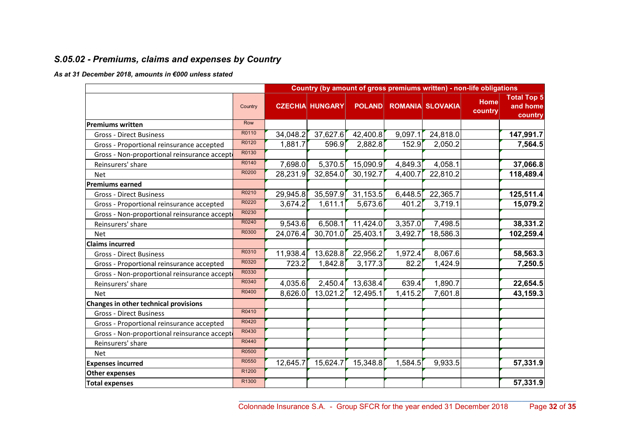### S.05.02 - Premiums, claims and expenses by Country

#### As at 31 December 2018, amounts in €000 unless stated

|                                              |         |          | Country (by amount of gross premiums written) - non-life obligations |               |         |                         |                        |                                           |
|----------------------------------------------|---------|----------|----------------------------------------------------------------------|---------------|---------|-------------------------|------------------------|-------------------------------------------|
|                                              | Country |          | <b>CZECHIA HUNGARY</b>                                               | <b>POLAND</b> |         | <b>ROMANIA SLOVAKIA</b> | <b>Home</b><br>country | <b>Total Top 5</b><br>and home<br>country |
| <b>Premiums written</b>                      | Row     |          |                                                                      |               |         |                         |                        |                                           |
| <b>Gross - Direct Business</b>               | R0110   | 34,048.2 | 37,627.6                                                             | 42,400.8      | 9,097.1 | 24,818.0                |                        | 147,991.7                                 |
| Gross - Proportional reinsurance accepted    | R0120   | 1,881.7  | 596.9                                                                | 2,882.8       | 152.9   | 2,050.2                 |                        | 7,564.5                                   |
| Gross - Non-proportional reinsurance accept  | R0130   |          |                                                                      |               |         |                         |                        |                                           |
| Reinsurers' share                            | R0140   | 7,698.0  | 5,370.5                                                              | 15,090.9      | 4,849.3 | 4,058.1                 |                        | 37,066.8                                  |
| <b>Net</b>                                   | R0200   | 28,231.9 | 32,854.0                                                             | 30,192.7      | 4,400.7 | 22,810.2                |                        | 118,489.4                                 |
| <b>Premiums earned</b>                       |         |          |                                                                      |               |         |                         |                        |                                           |
| <b>Gross - Direct Business</b>               | R0210   | 29,945.8 | 35,597.9                                                             | 31,153.5      | 6,448.5 | 22,365.7                |                        | 125,511.4                                 |
| Gross - Proportional reinsurance accepted    | R0220   | 3,674.2  | 1,611.1                                                              | 5,673.6       | 401.2   | 3,719.1                 |                        | 15,079.2                                  |
| Gross - Non-proportional reinsurance accepto | R0230   |          |                                                                      |               |         |                         |                        |                                           |
| Reinsurers' share                            | R0240   | 9,543.6  | 6,508.1                                                              | 11,424.0      | 3,357.0 | 7,498.5                 |                        | 38,331.2                                  |
| <b>Net</b>                                   | R0300   | 24,076.4 | 30,701.0                                                             | 25,403.1      | 3,492.7 | 18,586.3                |                        | 102,259.4                                 |
| <b>Claims incurred</b>                       |         |          |                                                                      |               |         |                         |                        |                                           |
| <b>Gross - Direct Business</b>               | R0310   | 11,938.4 | 13,628.8                                                             | 22,956.2      | 1,972.4 | 8,067.6                 |                        | 58,563.3                                  |
| Gross - Proportional reinsurance accepted    | R0320   | 723.2    | 1,842.8                                                              | 3,177.3       | 82.2    | 1,424.9                 |                        | 7,250.5                                   |
| Gross - Non-proportional reinsurance accept  | R0330   |          |                                                                      |               |         |                         |                        |                                           |
| Reinsurers' share                            | R0340   | 4,035.6  | 2,450.4                                                              | 13,638.4      | 639.4   | 1,890.7                 |                        | 22,654.5                                  |
| <b>Net</b>                                   | R0400   | 8,626.0  | 13,021.2                                                             | 12,495.1      | 1,415.2 | 7,601.8                 |                        | 43,159.3                                  |
| Changes in other technical provisions        |         |          |                                                                      |               |         |                         |                        |                                           |
| <b>Gross - Direct Business</b>               | R0410   |          |                                                                      |               |         |                         |                        |                                           |
| Gross - Proportional reinsurance accepted    | R0420   |          |                                                                      |               |         |                         |                        |                                           |
| Gross - Non-proportional reinsurance accept  | R0430   |          |                                                                      |               |         |                         |                        |                                           |
| Reinsurers' share                            | R0440   |          |                                                                      |               |         |                         |                        |                                           |
| <b>Net</b>                                   | R0500   |          |                                                                      |               |         |                         |                        |                                           |
| <b>Expenses incurred</b>                     | R0550   | 12,645.7 | 15,624.7                                                             | 15,348.8      | 1,584.5 | 9,933.5                 |                        | 57,331.9                                  |
| <b>Other expenses</b>                        | R1200   |          |                                                                      |               |         |                         |                        |                                           |
| <b>Total expenses</b>                        | R1300   |          |                                                                      |               |         |                         |                        | 57,331.9                                  |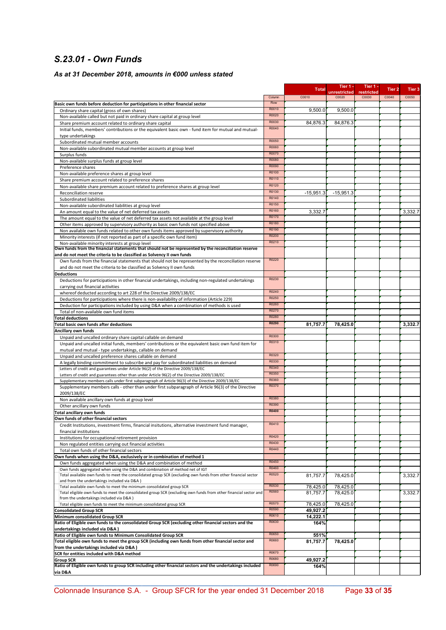### S.23.01 - Own Funds

#### As at 31 December 2018, amounts in €000 unless stated

|                                                                                                                                                                                               |                | <b>Total</b>         | Tier 1 -<br>unrestricted | Tier 1 -<br>restricted | Tier 2 | Tier 3  |
|-----------------------------------------------------------------------------------------------------------------------------------------------------------------------------------------------|----------------|----------------------|--------------------------|------------------------|--------|---------|
|                                                                                                                                                                                               | Column         | C0010                | C <sub>0020</sub>        | C0030                  | C0040  | C0050   |
| Basic own funds before deduction for participations in other financial sector                                                                                                                 | Row            |                      |                          |                        |        |         |
| Ordinary share capital (gross of own shares)                                                                                                                                                  | R0010          | 9,500.0              | 9,500.0                  |                        |        |         |
| Non-available called but not paid in ordinary share capital at group level                                                                                                                    | R0020<br>R0030 |                      |                          |                        |        |         |
| Share premium account related to ordinary share capital<br>Initial funds, members' contributions or the equivalent basic own - fund item for mutual and mutual-                               | R0040          | 84,876.3             | 84,876.3                 |                        |        |         |
| type undertakings                                                                                                                                                                             |                |                      |                          |                        |        |         |
| Subordinated mutual member accounts                                                                                                                                                           | R0050          |                      |                          |                        |        |         |
| Non-available subordinated mutual member accounts at group level                                                                                                                              | R0060          |                      |                          |                        |        |         |
| Surplus funds                                                                                                                                                                                 | R0070          |                      |                          |                        |        |         |
| Non-available surplus funds at group level                                                                                                                                                    | R0080          |                      |                          |                        |        |         |
| Preference shares                                                                                                                                                                             | R0090<br>R0100 |                      |                          |                        |        |         |
| Non-available preference shares at group level                                                                                                                                                | R0110          |                      |                          |                        |        |         |
| Share premium account related to preference shares<br>Non-available share premium account related to preference shares at group level                                                         | R0120          |                      |                          |                        |        |         |
| Reconciliation reserve                                                                                                                                                                        | R0130          | $-15,951.3$          | $-15,951.3$              |                        |        |         |
| Subordinated liabilities                                                                                                                                                                      | R0140          |                      |                          |                        |        |         |
| Non-available subordinated liabilities at group level                                                                                                                                         | R0150          |                      |                          |                        |        |         |
| An amount equal to the value of net deferred tax assets                                                                                                                                       | R0160          | 3,332.7              |                          |                        |        | 3,332.7 |
| The amount equal to the value of net deferred tax assets not available at the group level                                                                                                     | R0170          |                      |                          |                        |        |         |
| Other items approved by supervisory authority as basic own funds not specified above                                                                                                          | R0180<br>R0190 |                      |                          |                        |        |         |
| Non available own funds related to other own funds items approved by supervisory authority                                                                                                    | R0200          |                      |                          |                        |        |         |
| Minority interests (if not reported as part of a specific own fund item)                                                                                                                      | R0210          |                      |                          |                        |        |         |
| Non-available minority interests at group level<br>Own funds from the financial statements that should not be represented by the reconciliation reserve                                       |                |                      |                          |                        |        |         |
| and do not meet the criteria to be classified as Solvency II own funds                                                                                                                        |                |                      |                          |                        |        |         |
| Own funds from the financial statements that should not be represented by the reconciliation reserve                                                                                          | R0220          |                      |                          |                        |        |         |
| and do not meet the criteria to be classified as Solvency II own funds                                                                                                                        |                |                      |                          |                        |        |         |
| <b>Deductions</b>                                                                                                                                                                             |                |                      |                          |                        |        |         |
| Deductions for participations in other financial undertakings, including non-regulated undertakings                                                                                           | R0230          |                      |                          |                        |        |         |
| carrying out financial activities                                                                                                                                                             | R0240          |                      |                          |                        |        |         |
| whereof deducted according to art 228 of the Directive 2009/138/EC                                                                                                                            | R0250          |                      |                          |                        |        |         |
| Deductions for participations where there is non-availability of information (Article 229)<br>Deduction for participations included by using D&A when a combination of methods is used        | R0260          |                      |                          |                        |        |         |
| Total of non-available own fund items                                                                                                                                                         | R0270          |                      |                          |                        |        |         |
| <b>Total deductions</b>                                                                                                                                                                       | R0280          |                      |                          |                        |        |         |
| Total basic own funds after deductions                                                                                                                                                        | R0290          | 81,757.7             | 78,425.0                 |                        |        | 3,332.7 |
| Ancillary own funds                                                                                                                                                                           |                |                      |                          |                        |        |         |
| Unpaid and uncalled ordinary share capital callable on demand                                                                                                                                 | R0300          |                      |                          |                        |        |         |
| Unpaid and uncalled initial funds, members' contributions or the equivalent basic own fund item for                                                                                           | R0310          |                      |                          |                        |        |         |
| mutual and mutual - type undertakings, callable on demand                                                                                                                                     | R0320          |                      |                          |                        |        |         |
| Unpaid and uncalled preference shares callable on demand                                                                                                                                      | R0330          |                      |                          |                        |        |         |
| A legally binding commitment to subscribe and pay for subordinated liabilities on demand<br>Letters of credit and guarantees under Article 96(2) of the Directive 2009/138/EC                 | R0340          |                      |                          |                        |        |         |
| Letters of credit and guarantees other than under Article 96(2) of the Directive 2009/138/EC                                                                                                  | R0350          |                      |                          |                        |        |         |
| Supplementary members calls under first subparagraph of Article 96(3) of the Directive 2009/138/EC                                                                                            | R0360          |                      |                          |                        |        |         |
| Supplementary members calls - other than under first subparagraph of Article 96(3) of the Directive                                                                                           | R0370          |                      |                          |                        |        |         |
| 2009/138/EC                                                                                                                                                                                   |                |                      |                          |                        |        |         |
| Non available ancillary own funds at group level                                                                                                                                              | R0380<br>R0390 |                      |                          |                        |        |         |
| Other ancillary own funds                                                                                                                                                                     | R0400          |                      |                          |                        |        |         |
| Total ancillary own funds<br>Own funds of other financial sectors                                                                                                                             |                |                      |                          |                        |        |         |
| Credit Institutions, investment firms, financial insitutions, alternative investment fund manager,                                                                                            | R0410          |                      |                          |                        |        |         |
| financial institutions                                                                                                                                                                        |                |                      |                          |                        |        |         |
| Institutions for occupational retirement provision                                                                                                                                            | R0420          |                      |                          |                        |        |         |
| Non regulated entities carrying out financial activities                                                                                                                                      | R0430          |                      |                          |                        |        |         |
| Total own funds of other financial sectors                                                                                                                                                    | R0440          |                      |                          |                        |        |         |
| Own funds when using the D&A, exclusively or in combination of method 1                                                                                                                       |                |                      |                          |                        |        |         |
| Own funds aggregated when using the D&A and combination of method                                                                                                                             | R0450<br>R0460 |                      |                          |                        |        |         |
| Own funds aggregated when using the D&A and combination of method net of IGT<br>Total available own funds to meet the consolidated group SCR (excluding own funds from other financial sector | R0520          | 81,757.7             | 78,425.0                 |                        |        | 3,332.7 |
| and from the undertakings included via D&A)                                                                                                                                                   |                |                      |                          |                        |        |         |
| Total available own funds to meet the minimum consolidated group SCR                                                                                                                          | R0530          | 78,425.0             | 78,425.0                 |                        |        |         |
| Total eligible own funds to meet the consolidated group SCR (excluding own funds from other financial sector and                                                                              | R0560          | 81,757.7             | 78,425.0                 |                        |        | 3,332.7 |
| from the undertakings included via D&A)                                                                                                                                                       | R0570          |                      |                          |                        |        |         |
| Total eligible own funds to meet the minimum consolidated group SCR                                                                                                                           | R0590          | 78,425.0             | 78,425.0                 |                        |        |         |
| <b>Consolidated Group SCR</b><br>Minimum consolidated Group SCR                                                                                                                               | R0610          | 49,927.2<br>14,222.1 |                          |                        |        |         |
| Ratio of Eligible own funds to the consolidated Group SCR (excluding other financial sectors and the                                                                                          | R0630          | 164%                 |                          |                        |        |         |
| undertakings included via D&A)                                                                                                                                                                |                |                      |                          |                        |        |         |
| Ratio of Eligible own funds to Minimum Consolidated Group SCR                                                                                                                                 | R0650          | 551%                 |                          |                        |        |         |
| Total eligible own funds to meet the group SCR (including own funds from other financial sector and                                                                                           | R0660          | 81,757.7             | 78,425.0                 |                        |        |         |
| from the undertakings included via D&A)                                                                                                                                                       |                |                      |                          |                        |        |         |
| SCR for entities included with D&A method                                                                                                                                                     | R0670<br>R0680 |                      |                          |                        |        |         |
| <b>Group SCR</b><br>Ratio of Eligible own funds to group SCR including other financial sectors and the undertakings included                                                                  | R0690          | 49,927.2<br>164%     |                          |                        |        |         |
| via D&A                                                                                                                                                                                       |                |                      |                          |                        |        |         |

\_\_\_\_\_\_\_\_\_\_\_\_\_\_\_\_\_\_\_\_\_\_\_\_\_\_\_\_\_\_\_\_\_\_\_\_\_\_\_\_\_\_\_\_\_\_\_\_\_\_\_\_\_\_\_\_\_\_\_\_\_\_\_\_\_\_\_\_\_\_\_\_\_\_\_\_\_\_\_\_\_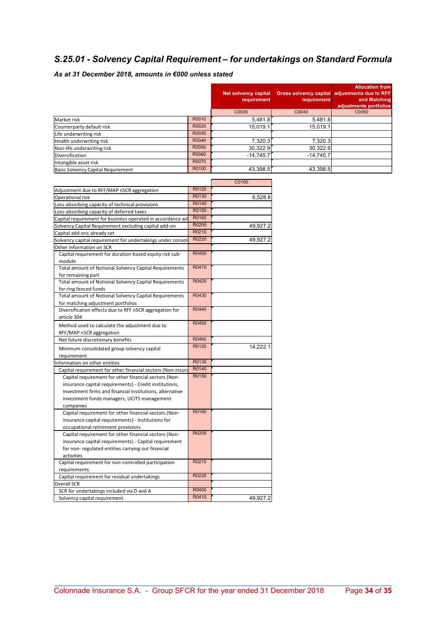### S.25.01 - Solvency Capital Requirement – for undertakings on Standard Formula

### As at 31 December 2018, amounts in €000 unless stated

|                                           |       | Net solvency capital<br>requirement | requirement | <b>Allocation from</b><br>Gross solvency capital adjustments due to RFF<br>and Matching<br>adjustments portfolios |
|-------------------------------------------|-------|-------------------------------------|-------------|-------------------------------------------------------------------------------------------------------------------|
|                                           |       | C0030                               | C0040       | C0050                                                                                                             |
| Market risk                               | R0010 | 5,481.8                             | 5,481.8     |                                                                                                                   |
| Counterparty default risk                 | R0020 | 15.019.1                            | 15.019.1    |                                                                                                                   |
| Life underwriting risk                    | R0030 |                                     |             |                                                                                                                   |
| Health underwriting risk                  | R0040 | 7,320.3                             | 7,320.3     |                                                                                                                   |
| Non-life underwriting risk                | R0050 | 30.322.9                            | 30.322.9    |                                                                                                                   |
| <b>Diversification</b>                    | R0060 | $-14.745.7$                         | $-14,745.7$ |                                                                                                                   |
| Intangible asset risk                     | R0070 |                                     |             |                                                                                                                   |
| <b>Basic Solvency Capital Requirement</b> | R0100 | 43,398.5                            | 43,398.5    |                                                                                                                   |

|                                                               |       | C0100    |
|---------------------------------------------------------------|-------|----------|
| Adjustment due to RFF/MAP nSCR aggregation                    | R0120 |          |
| Operational risk                                              | R0130 | 6.528.8  |
| Loss-absorbing capacity of technical provisions               | R0140 |          |
| Loss-absorbing capacity of deferred taxes                     | R0150 |          |
| Capital requirement for business operated in accordance wit   | R0160 |          |
| Solvency Capital Requirement excluding capital add-on         | R0200 | 49,927.2 |
| Capital add-ons already set                                   | R0210 |          |
| Solvency capital requirement for undertakings under consol    | R0220 | 49,927.2 |
| Other information on SCR                                      |       |          |
| Capital requirement for duration-based equity risk sub-       | R0400 |          |
| module                                                        |       |          |
| <b>Total amount of Notional Solvency Capital Requirements</b> | R0410 |          |
| for remaining part                                            |       |          |
| Total amount of Notional Solvency Capital Requirements        | R0420 |          |
| for ring fenced funds                                         |       |          |
| Total amount of Notional Solvency Capital Requirements        | R0430 |          |
| for matching adjustment portfolios                            |       |          |
| Diversification effects due to RFF nSCR aggregation for       | R0440 |          |
| article 304                                                   |       |          |
| Method used to calculate the adjustment due to                | R0450 |          |
| RFF/MAP nSCR aggregation                                      |       |          |
| Net future discretionary benefits                             | R0460 |          |
| Minimum consolidated group solvency capital                   | R0120 | 14,222.1 |
| requirement                                                   |       |          |
| Information on other entities                                 | R0130 |          |
| Capital requirement for other financial sectors (Non-insura   | R0140 |          |
| Capital requirement for other financial sectors (Non-         | R0150 |          |
| insurance capital requirements) - Credit institutions,        |       |          |
| investment firms and financial institutions, alternative      |       |          |
| investment funds managers, UCITS management                   |       |          |
| companies                                                     |       |          |
| Capital requirement for other financial sectors (Non-         | R0160 |          |
| insurance capital requirements) - Institutions for            |       |          |
| occupational retirement provisions                            |       |          |
| Capital requirement for other financial sectors (Non-         | R0200 |          |
| insurance capital requirements) - Capital requirement         |       |          |
| for non-regulated entities carrying out financial             |       |          |
| activities                                                    |       |          |
| Capital requirement for non-controlled participation          | R0210 |          |
| requirements                                                  |       |          |
| Capital requirement for residual undertakings                 | R0220 |          |
| <b>Overall SCR</b>                                            |       |          |
| SCR for undertakings included via D and A                     | R0400 |          |
| Solvency capital requirement                                  | R0410 | 49,927.2 |
|                                                               |       |          |